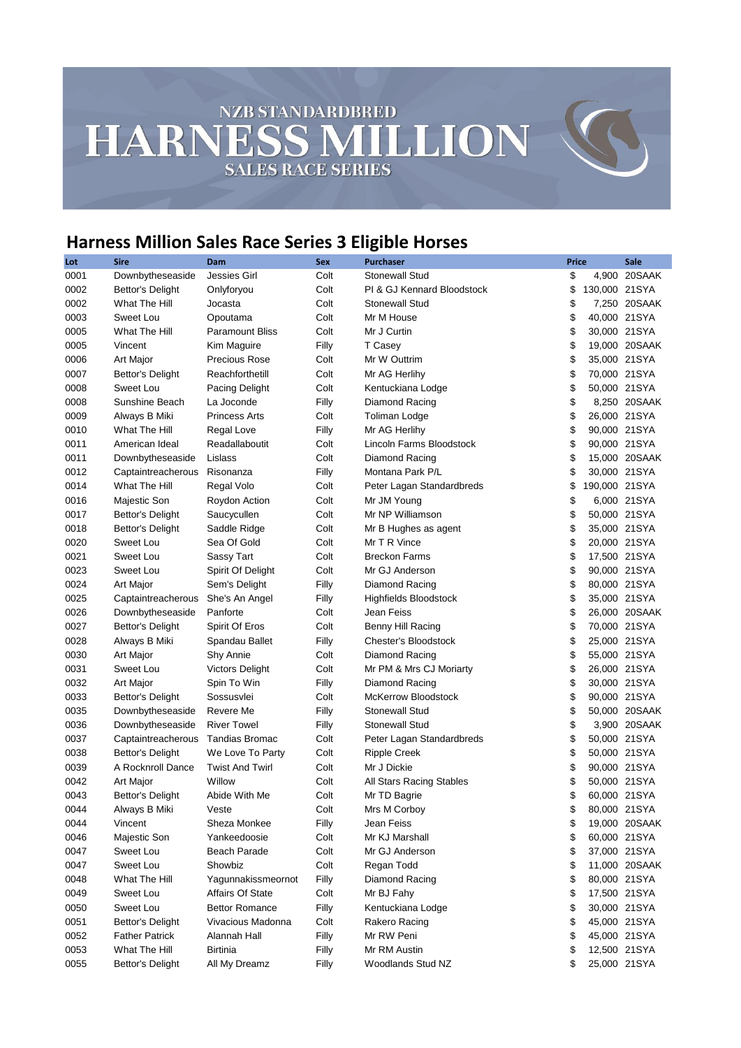## NZB STANDARDBRED<br>VESS MILLION **HARNES: SALES RACE SERIES**

## **Harness Million Sales Race Series 3 Eligible Horses**

| Lot  | <b>Sire</b>             | Dam                     | <b>Sex</b> | <b>Purchaser</b>             | <b>Price</b> |               | <b>Sale</b>   |
|------|-------------------------|-------------------------|------------|------------------------------|--------------|---------------|---------------|
| 0001 | Downbytheseaside        | Jessies Girl            | Colt       | <b>Stonewall Stud</b>        | \$           |               | 4,900 20SAAK  |
| 0002 | Bettor's Delight        | Onlyforyou              | Colt       | PI & GJ Kennard Bloodstock   | \$           | 130,000 21SYA |               |
| 0002 | What The Hill           | Jocasta                 | Colt       | <b>Stonewall Stud</b>        | \$           |               | 7,250 20SAAK  |
| 0003 | Sweet Lou               | Opoutama                | Colt       | Mr M House                   | \$           |               | 40,000 21SYA  |
| 0005 | What The Hill           | <b>Paramount Bliss</b>  | Colt       | Mr J Curtin                  | \$           |               | 30,000 21SYA  |
| 0005 | Vincent                 | Kim Maguire             | Filly      | T Casey                      | \$           |               | 19,000 20SAAK |
| 0006 | Art Major               | <b>Precious Rose</b>    | Colt       | Mr W Outtrim                 | \$           |               | 35,000 21SYA  |
| 0007 | Bettor's Delight        | Reachforthetill         | Colt       | Mr AG Herlihy                | \$           |               | 70,000 21SYA  |
| 0008 | Sweet Lou               | Pacing Delight          | Colt       | Kentuckiana Lodge            | \$           |               | 50,000 21SYA  |
| 0008 | Sunshine Beach          | La Joconde              | Filly      | Diamond Racing               | \$           |               | 8,250 20SAAK  |
| 0009 | Always B Miki           | <b>Princess Arts</b>    | Colt       | <b>Toliman Lodge</b>         | \$           |               | 26,000 21SYA  |
| 0010 | What The Hill           | Regal Love              | Filly      | Mr AG Herlihy                | \$           |               | 90,000 21SYA  |
| 0011 | American Ideal          | Readallaboutit          | Colt       | Lincoln Farms Bloodstock     | \$           |               | 90,000 21SYA  |
| 0011 | Downbytheseaside        | Lislass                 | Colt       | Diamond Racing               | \$           |               | 15,000 20SAAK |
| 0012 | Captaintreacherous      | Risonanza               | Filly      | Montana Park P/L             | \$           |               | 30,000 21SYA  |
| 0014 | What The Hill           | Regal Volo              | Colt       | Peter Lagan Standardbreds    | \$           | 190,000 21SYA |               |
| 0016 | Majestic Son            | Roydon Action           | Colt       | Mr JM Young                  | \$           |               | 6,000 21SYA   |
| 0017 | Bettor's Delight        | Saucycullen             | Colt       | Mr NP Williamson             | \$           |               | 50,000 21SYA  |
| 0018 | Bettor's Delight        | Saddle Ridge            | Colt       | Mr B Hughes as agent         | \$           |               | 35,000 21SYA  |
| 0020 | Sweet Lou               | Sea Of Gold             | Colt       | Mr T R Vince                 | \$           |               | 20,000 21SYA  |
| 0021 | Sweet Lou               | Sassy Tart              | Colt       | <b>Breckon Farms</b>         | \$           |               | 17,500 21SYA  |
| 0023 | Sweet Lou               | Spirit Of Delight       | Colt       | Mr GJ Anderson               | \$           |               | 90,000 21SYA  |
| 0024 | Art Major               | Sem's Delight           | Filly      | Diamond Racing               | \$           |               | 80,000 21SYA  |
| 0025 | Captaintreacherous      | She's An Angel          | Filly      | <b>Highfields Bloodstock</b> | \$           |               | 35,000 21SYA  |
| 0026 | Downbytheseaside        | Panforte                | Colt       | Jean Feiss                   | \$           |               | 26,000 20SAAK |
| 0027 | Bettor's Delight        | Spirit Of Eros          | Colt       | Benny Hill Racing            | \$           |               | 70,000 21SYA  |
| 0028 | Always B Miki           | Spandau Ballet          | Filly      | <b>Chester's Bloodstock</b>  | \$           |               | 25,000 21SYA  |
| 0030 | Art Major               | Shy Annie               | Colt       | Diamond Racing               | \$           |               | 55,000 21SYA  |
| 0031 | Sweet Lou               | <b>Victors Delight</b>  | Colt       | Mr PM & Mrs CJ Moriarty      | \$           |               | 26,000 21SYA  |
| 0032 | Art Major               | Spin To Win             | Filly      | Diamond Racing               | \$           |               | 30,000 21SYA  |
| 0033 | Bettor's Delight        | Sossusvlei              | Colt       | <b>McKerrow Bloodstock</b>   | \$           |               | 90,000 21SYA  |
| 0035 | Downbytheseaside        | Revere Me               | Filly      | <b>Stonewall Stud</b>        | \$           |               | 50,000 20SAAK |
| 0036 | Downbytheseaside        | <b>River Towel</b>      | Filly      | <b>Stonewall Stud</b>        | \$           |               | 3,900 20SAAK  |
| 0037 | Captaintreacherous      | <b>Tandias Bromac</b>   | Colt       | Peter Lagan Standardbreds    | \$           |               | 50,000 21SYA  |
| 0038 | <b>Bettor's Delight</b> | We Love To Party        | Colt       | <b>Ripple Creek</b>          | \$           |               | 50,000 21SYA  |
| 0039 | A Rocknroll Dance       | <b>Twist And Twirl</b>  | Colt       | Mr J Dickie                  | \$           |               | 90,000 21SYA  |
| 0042 | Art Major               | Willow                  | Colt       | All Stars Racing Stables     | \$           |               | 50,000 21SYA  |
| 0043 | <b>Bettor's Delight</b> | Abide With Me           | Colt       | Mr TD Bagrie                 | \$           |               | 60,000 21SYA  |
| 0044 | Always B Miki           | Veste                   | Colt       | Mrs M Corboy                 | \$           |               | 80,000 21SYA  |
| 0044 | Vincent                 | Sheza Monkee            | Filly      | Jean Feiss                   | \$           |               | 19,000 20SAAK |
| 0046 | Majestic Son            | Yankeedoosie            | Colt       | Mr KJ Marshall               | \$           |               | 60,000 21SYA  |
| 0047 | Sweet Lou               | Beach Parade            | Colt       | Mr GJ Anderson               | \$           |               | 37,000 21SYA  |
| 0047 | Sweet Lou               | Showbiz                 | Colt       | Regan Todd                   | \$           |               | 11,000 20SAAK |
| 0048 | What The Hill           | Yagunnakissmeornot      | Filly      | Diamond Racing               | \$           |               | 80,000 21SYA  |
| 0049 | Sweet Lou               | <b>Affairs Of State</b> | Colt       | Mr BJ Fahy                   | \$           |               | 17,500 21SYA  |
| 0050 | Sweet Lou               | <b>Bettor Romance</b>   | Filly      | Kentuckiana Lodge            | \$           |               | 30,000 21SYA  |
| 0051 | <b>Bettor's Delight</b> | Vivacious Madonna       | Colt       | Rakero Racing                | \$           |               | 45,000 21SYA  |
| 0052 | <b>Father Patrick</b>   | Alannah Hall            | Filly      | Mr RW Peni                   | \$           |               | 45,000 21SYA  |
| 0053 | What The Hill           | <b>Birtinia</b>         | Filly      | Mr RM Austin                 | \$           |               | 12,500 21SYA  |
| 0055 | Bettor's Delight        | All My Dreamz           | Filly      | Woodlands Stud NZ            | \$           |               | 25,000 21SYA  |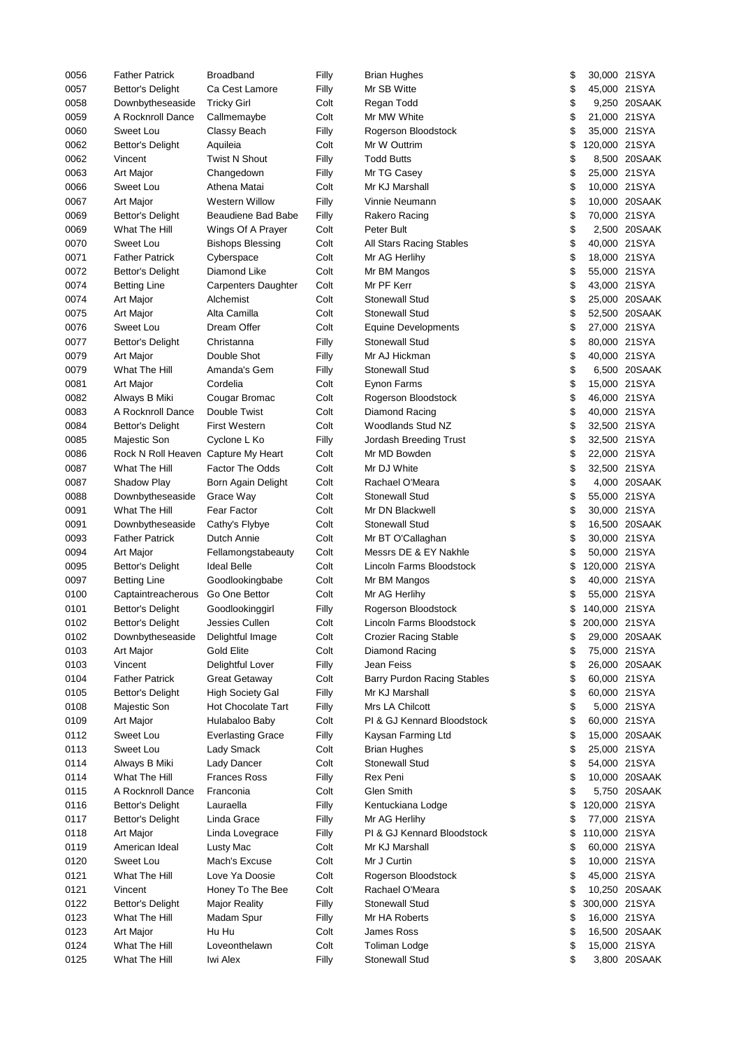| 0056 | <b>Father Patrick</b>               | Broadband                  | Filly | Brian Hughes                       | \$ |               | 30,000 21SYA  |
|------|-------------------------------------|----------------------------|-------|------------------------------------|----|---------------|---------------|
| 0057 | Bettor's Delight                    | Ca Cest Lamore             | Filly | Mr SB Witte                        | \$ |               | 45,000 21SYA  |
| 0058 | Downbytheseaside                    | Tricky Girl                | Colt  | Regan Todd                         | \$ |               | 9,250 20SAAK  |
| 0059 | A Rocknroll Dance                   | Callmemaybe                | Colt  | Mr MW White                        | \$ |               | 21,000 21SYA  |
| 0060 | Sweet Lou                           | Classy Beach               | Filly | Rogerson Bloodstock                | \$ |               | 35,000 21SYA  |
| 0062 | Bettor's Delight                    | Aquileia                   | Colt  | Mr W Outtrim                       | \$ | 120,000 21SYA |               |
| 0062 | Vincent                             | Twist N Shout              | Filly | <b>Todd Butts</b>                  | \$ |               | 8,500 20SAAK  |
| 0063 | Art Major                           | Changedown                 | Filly | Mr TG Casey                        | \$ |               | 25,000 21SYA  |
| 0066 | Sweet Lou                           | Athena Matai               | Colt  | Mr KJ Marshall                     | \$ |               | 10,000 21SYA  |
| 0067 | Art Major                           | <b>Western Willow</b>      | Filly | Vinnie Neumann                     | \$ |               | 10,000 20SAAK |
| 0069 | Bettor's Delight                    | Beaudiene Bad Babe         | Filly | Rakero Racing                      | \$ |               | 70,000 21SYA  |
| 0069 | What The Hill                       | Wings Of A Prayer          | Colt  | Peter Bult                         | \$ |               | 2,500 20SAAK  |
| 0070 | Sweet Lou                           | <b>Bishops Blessing</b>    | Colt  | All Stars Racing Stables           | \$ |               | 40,000 21SYA  |
| 0071 | <b>Father Patrick</b>               | Cyberspace                 | Colt  | Mr AG Herlihy                      | \$ |               | 18,000 21SYA  |
| 0072 | Bettor's Delight                    | Diamond Like               | Colt  | Mr BM Mangos                       | \$ |               | 55,000 21SYA  |
| 0074 | Betting Line                        | <b>Carpenters Daughter</b> | Colt  | Mr PF Kerr                         | \$ |               | 43,000 21SYA  |
| 0074 | Art Major                           | Alchemist                  | Colt  | <b>Stonewall Stud</b>              | \$ |               | 25,000 20SAAK |
| 0075 | Art Major                           | Alta Camilla               | Colt  | <b>Stonewall Stud</b>              | \$ |               | 52,500 20SAAK |
| 0076 | Sweet Lou                           | Dream Offer                | Colt  | <b>Equine Developments</b>         | \$ |               | 27,000 21SYA  |
| 0077 | Bettor's Delight                    | Christanna                 | Filly | <b>Stonewall Stud</b>              | \$ |               | 80,000 21SYA  |
| 0079 | Art Major                           | Double Shot                | Filly | Mr AJ Hickman                      | \$ |               | 40,000 21SYA  |
| 0079 | What The Hill                       | Amanda's Gem               | Filly | <b>Stonewall Stud</b>              | \$ |               | 6,500 20SAAK  |
| 0081 | Art Major                           | Cordelia                   | Colt  | <b>Eynon Farms</b>                 | \$ |               | 15,000 21SYA  |
| 0082 | Always B Miki                       | Cougar Bromac              | Colt  | Rogerson Bloodstock                |    |               | 46,000 21SYA  |
| 0083 | A Rocknroll Dance                   | Double Twist               | Colt  | Diamond Racing                     | \$ |               | 40,000 21SYA  |
| 0084 | Bettor's Delight                    | <b>First Western</b>       | Colt  | <b>Woodlands Stud NZ</b>           | \$ |               | 32,500 21SYA  |
| 0085 | Majestic Son                        | Cyclone L Ko               | Filly | Jordash Breeding Trust             | \$ |               | 32,500 21SYA  |
| 0086 | Rock N Roll Heaven Capture My Heart |                            | Colt  | Mr MD Bowden                       | \$ |               | 22,000 21SYA  |
| 0087 | What The Hill                       | <b>Factor The Odds</b>     | Colt  | Mr DJ White                        | \$ |               | 32,500 21SYA  |
| 0087 | Shadow Play                         | Born Again Delight         | Colt  | Rachael O'Meara                    | \$ |               | 4,000 20SAAK  |
| 0088 | Downbytheseaside                    | Grace Way                  | Colt  | <b>Stonewall Stud</b>              | \$ |               | 55,000 21SYA  |
| 0091 | What The Hill                       | Fear Factor                | Colt  | Mr DN Blackwell                    | \$ |               | 30,000 21SYA  |
| 0091 | Downbytheseaside                    | Cathy's Flybye             | Colt  | <b>Stonewall Stud</b>              | \$ |               | 16,500 20SAAK |
| 0093 | <b>Father Patrick</b>               | Dutch Annie                | Colt  | Mr BT O'Callaghan                  | \$ |               | 30,000 21SYA  |
| 0094 | Art Major                           | Fellamongstabeauty         | Colt  | Messrs DE & EY Nakhle              | S  |               | 50,000 21SYA  |
| 0095 | Bettor's Delight                    | <b>Ideal Belle</b>         | Colt  | Lincoln Farms Bloodstock           |    | 120,000 21SYA |               |
| 0097 | Betting Line                        | Goodlookingbabe            | Colt  | Mr BM Mangos                       | S  |               | 40,000 21SYA  |
| 0100 | Captaintreacherous                  | Go One Bettor              | Colt  | Mr AG Herlihy                      |    |               | 55,000 21SYA  |
| 0101 | Bettor's Delight                    | Goodlookinggirl            | Filly | Rogerson Bloodstock                |    | 140,000 21SYA |               |
| 0102 | Bettor's Delight                    | Jessies Cullen             | Colt  | Lincoln Farms Bloodstock           |    | 200,000 21SYA |               |
| 0102 | Downbytheseaside                    | Delightful Image           | Colt  | Crozier Racing Stable              | \$ |               | 29,000 20SAAK |
| 0103 | Art Major                           | Gold Elite                 | Colt  | Diamond Racing                     | S  |               | 75,000 21SYA  |
| 0103 | Vincent                             | Delightful Lover           | Filly | Jean Feiss                         | \$ |               | 26,000 20SAAK |
| 0104 | <b>Father Patrick</b>               | Great Getaway              | Colt  | <b>Barry Purdon Racing Stables</b> | \$ |               | 60,000 21SYA  |
| 0105 | Bettor's Delight                    | <b>High Society Gal</b>    | Filly | Mr KJ Marshall                     | \$ |               | 60,000 21SYA  |
| 0108 | Majestic Son                        | <b>Hot Chocolate Tart</b>  | Filly | Mrs LA Chilcott                    | \$ |               | 5,000 21SYA   |
| 0109 | Art Major                           | Hulabaloo Baby             | Colt  | PI & GJ Kennard Bloodstock         | \$ |               | 60,000 21SYA  |
| 0112 | Sweet Lou                           | <b>Everlasting Grace</b>   | Filly | Kaysan Farming Ltd                 |    |               | 15,000 20SAAK |
| 0113 | Sweet Lou                           | Lady Smack                 | Colt  | <b>Brian Hughes</b>                |    |               | 25,000 21SYA  |
| 0114 | Always B Miki                       | <b>Lady Dancer</b>         | Colt  | <b>Stonewall Stud</b>              | \$ |               | 54,000 21SYA  |
| 0114 | What The Hill                       | <b>Frances Ross</b>        | Filly | Rex Peni                           | \$ |               | 10,000 20SAAK |
| 0115 | A Rocknroll Dance                   | Franconia                  | Colt  | Glen Smith                         | \$ |               | 5,750 20SAAK  |
| 0116 | <b>Bettor's Delight</b>             | Lauraella                  | Filly | Kentuckiana Lodge                  |    | 120,000 21SYA |               |
| 0117 | Bettor's Delight                    | Linda Grace                | Filly | Mr AG Herlihy                      |    |               | 77,000 21SYA  |
| 0118 | Art Major                           | Linda Lovegrace            | Filly | PI & GJ Kennard Bloodstock         | \$ | 110,000 21SYA |               |
| 0119 | American Ideal                      | Lusty Mac                  | Colt  | Mr KJ Marshall                     | \$ |               | 60,000 21SYA  |
| 0120 | Sweet Lou                           | Mach's Excuse              | Colt  | Mr J Curtin                        | \$ |               | 10,000 21SYA  |
| 0121 | What The Hill                       | Love Ya Doosie             | Colt  | Rogerson Bloodstock                | \$ |               | 45,000 21SYA  |
| 0121 | Vincent                             | Honey To The Bee           | Colt  | Rachael O'Meara                    | \$ |               | 10,250 20SAAK |
| 0122 | Bettor's Delight                    | <b>Major Reality</b>       | Filly | <b>Stonewall Stud</b>              |    | 300,000 21SYA |               |
| 0123 | What The Hill                       | Madam Spur                 | Filly | Mr HA Roberts                      | \$ |               | 16,000 21SYA  |
| 0123 | Art Major                           | Hu Hu                      | Colt  | James Ross                         | \$ |               | 16,500 20SAAK |
| 0124 | What The Hill                       | Loveonthelawn              | Colt  | <b>Toliman Lodge</b>               | \$ |               | 15,000 21SYA  |
| 0125 | What The Hill                       | Iwi Alex                   | Filly | <b>Stonewall Stud</b>              | \$ |               | 3,800 20SAAK  |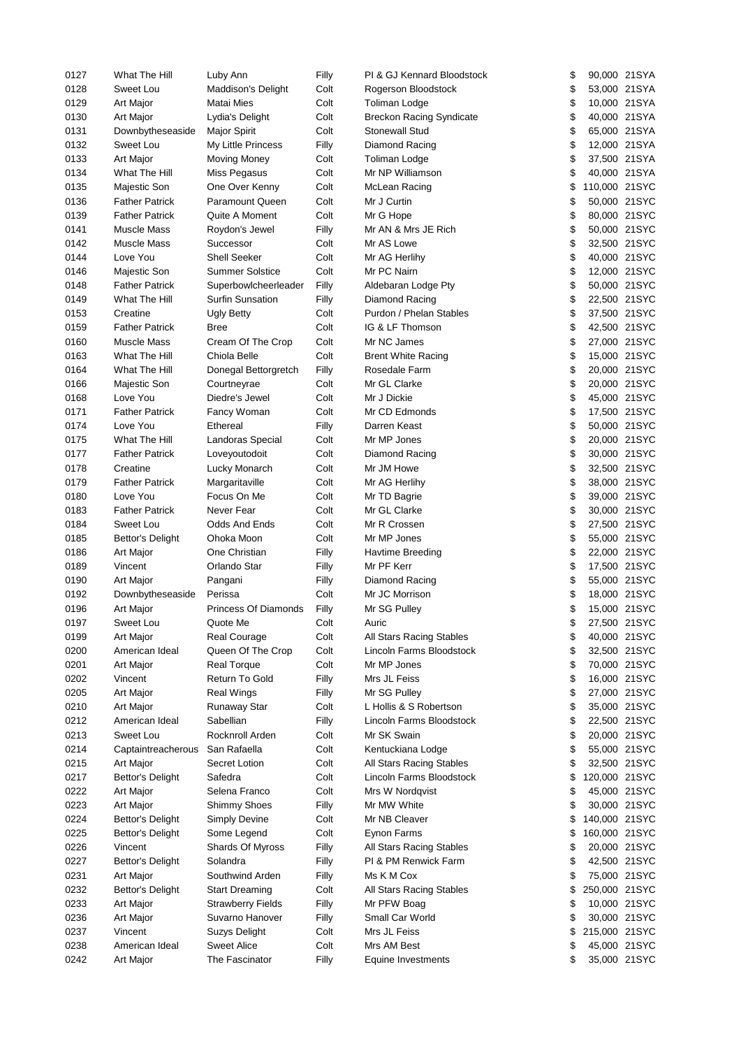| \$<br>0128<br>Sweet Lou<br>Maddison's Delight<br>Colt<br>53,000 21SYA<br>Rogerson Bloodstock<br>\$<br>0129<br>Art Major<br><b>Matai Mies</b><br>Colt<br><b>Toliman Lodge</b><br>10,000 21SYA<br>\$<br>0130<br>Colt<br>40,000 21SYA<br><b>Art Major</b><br>Lydia's Delight<br><b>Breckon Racing Syndicate</b><br>Colt<br>\$<br>0131<br>Downbytheseaside<br><b>Stonewall Stud</b><br>65,000 21SYA<br>Major Spirit<br>\$<br>Filly<br>0132<br>Sweet Lou<br>Diamond Racing<br>12,000 21SYA<br>My Little Princess<br>\$<br>Colt<br>0133<br>Art Major<br><b>Toliman Lodge</b><br>37,500 21SYA<br>Moving Money<br>\$<br>0134<br>What The Hill<br>Colt<br>Mr NP Williamson<br>40,000 21SYA<br>Miss Pegasus<br>\$<br>0135<br>Majestic Son<br>One Over Kenny<br>Colt<br>McLean Racing<br>110,000 21SYC<br>\$<br>0136<br><b>Father Patrick</b><br><b>Paramount Queen</b><br>Colt<br>Mr J Curtin<br>50,000 21SYC<br><b>Father Patrick</b><br>Colt<br>\$<br>80,000 21SYC<br>0139<br><b>Quite A Moment</b><br>Mr G Hope<br>0141<br><b>Muscle Mass</b><br>Roydon's Jewel<br>Filly<br>Mr AN & Mrs JE Rich<br>\$<br>50,000 21SYC<br>Mr AS Lowe<br>\$<br>32,500 21SYC<br>0142<br><b>Muscle Mass</b><br>Colt<br>Successor<br>\$<br><b>Shell Seeker</b><br>Colt<br>40,000 21SYC<br>0144<br>Love You<br>Mr AG Herlihy<br>\$<br><b>Summer Solstice</b><br>Colt<br>Mr PC Nairn<br>12,000 21SYC<br>0146<br>Majestic Son<br>\$<br>50,000 21SYC<br>0148<br><b>Father Patrick</b><br>Superbowlcheerleader<br>Filly<br>Aldebaran Lodge Pty<br>What The Hill<br><b>Surfin Sunsation</b><br>\$<br>22,500 21SYC<br>0149<br>Filly<br>Diamond Racing<br>\$<br>Purdon / Phelan Stables<br>37,500 21SYC<br>0153<br>Creatine<br>Colt<br>Ugly Betty<br><b>Father Patrick</b><br>Colt<br>IG & LF Thomson<br>\$<br>42,500 21SYC<br>0159<br><b>Bree</b><br>\$<br>0160<br><b>Muscle Mass</b><br>Cream Of The Crop<br>Colt<br>Mr NC James<br>27,000 21SYC<br>Colt<br>\$<br>15,000 21SYC<br>0163<br>What The Hill<br>Chiola Belle<br><b>Brent White Racing</b><br>\$<br>What The Hill<br>20,000 21SYC<br>0164<br>Donegal Bettorgretch<br>Filly<br>Rosedale Farm<br>\$<br>Colt<br>Mr GL Clarke<br>20,000 21SYC<br>0166<br>Majestic Son<br>Courtneyrae<br>\$<br>Love You<br>Colt<br>45,000 21SYC<br>0168<br>Diedre's Jewel<br>Mr J Dickie<br>\$<br>17,500 21SYC<br>0171<br><b>Father Patrick</b><br>Fancy Woman<br>Colt<br>Mr CD Edmonds<br>\$<br>Love You<br>Filly<br>50,000 21SYC<br>0174<br>Ethereal<br>Darren Keast<br>What The Hill<br>Mr MP Jones<br>\$<br>20,000 21SYC<br>0175<br>Landoras Special<br>Colt<br><b>Father Patrick</b><br>Colt<br>\$<br>0177<br>Loveyoutodoit<br>Diamond Racing<br>30,000 21SYC<br>Colt<br>\$<br>32,500 21SYC<br>0178<br>Creatine<br>Lucky Monarch<br>Mr JM Howe<br><b>Father Patrick</b><br>Colt<br>\$<br>38,000 21SYC<br>0179<br>Margaritaville<br>Mr AG Herlihy<br>Colt<br>\$<br>39,000 21SYC<br>0180<br>Love You<br>Focus On Me<br>Mr TD Bagrie<br>\$<br><b>Father Patrick</b><br>Never Fear<br>Colt<br>Mr GL Clarke<br>30,000 21SYC<br>0183<br>\$<br>Colt<br>27,500 21SYC<br>0184<br>Sweet Lou<br><b>Odds And Ends</b><br>Mr R Crossen<br>Colt<br>Mr MP Jones<br>\$<br>55,000 21SYC<br>0185<br>Bettor's Delight<br>Ohoka Moon<br>\$<br>22,000 21SYC<br>0186<br><b>Art Major</b><br>One Christian<br>Filly<br><b>Havtime Breeding</b><br>Mr PF Kerr<br>\$<br>17,500 21SYC<br>0189<br>Vincent<br>Orlando Star<br>Filly<br>\$<br>0190<br>Art Major<br>Filly<br>Diamond Racing<br>55,000 21SYC<br>Pangani<br>Colt<br>\$<br>18,000 21SYC<br>0192<br>Mr JC Morrison<br>Downbytheseaside<br>Perissa<br>\$<br>15,000 21SYC<br>0196<br>Art Major<br><b>Princess Of Diamonds</b><br>Filly<br>Mr SG Pulley<br>\$<br>0197<br>Colt<br>27,500 21SYC<br>Quote Me<br>Auric<br>Sweet Lou<br>\$<br>0199<br>Art Major<br><b>Real Courage</b><br>Colt<br>All Stars Racing Stables<br>40,000 21SYC<br>0200<br>Queen Of The Crop<br>Colt<br>\$<br>32,500 21SYC<br>American Ideal<br>Lincoln Farms Bloodstock<br>Colt<br>Mr MP Jones<br>\$<br>70,000 21SYC<br>0201<br>Art Major<br><b>Real Torque</b><br>Return To Gold<br>16,000 21SYC<br>0202<br>Vincent<br>Filly<br>Mrs JL Feiss<br>\$<br>27,000 21SYC<br>0205<br>Art Major<br><b>Real Wings</b><br>Filly<br>Mr SG Pulley<br>\$<br>0210<br>Art Major<br><b>Runaway Star</b><br>Colt<br>L Hollis & S Robertson<br>\$<br>35,000 21SYC<br>22,500 21SYC<br>0212<br>American Ideal<br>Sabellian<br>Filly<br>Lincoln Farms Bloodstock<br>\$<br>Colt<br>0213<br>Sweet Lou<br>Rocknroll Arden<br>Mr SK Swain<br>\$<br>20,000 21SYC<br>55,000 21SYC<br>0214<br>Captaintreacherous<br>San Rafaella<br>Colt<br>Kentuckiana Lodge<br>\$<br>0215<br>Secret Lotion<br>Colt<br>All Stars Racing Stables<br>\$<br>32,500 21SYC<br>Art Major<br>120,000 21SYC<br>0217<br><b>Bettor's Delight</b><br>Safedra<br>Colt<br>Lincoln Farms Bloodstock<br>\$<br>0222<br>Art Major<br>Selena Franco<br>Colt<br>Mrs W Nordqvist<br>45,000 21SYC<br>\$<br>0223<br>Shimmy Shoes<br>30,000 21SYC<br>Art Major<br>Filly<br>Mr MW White<br>0224<br><b>Bettor's Delight</b><br>Simply Devine<br>Colt<br>Mr NB Cleaver<br>140,000 21SYC<br>S<br>Colt<br>160,000 21SYC<br>0225<br>Some Legend<br>Eynon Farms<br>Bettor's Delight<br>\$<br>20,000 21SYC<br>0226<br>Vincent<br>Shards Of Myross<br>Filly<br>All Stars Racing Stables<br>\$<br>PI & PM Renwick Farm<br>42,500 21SYC<br>0227<br>Bettor's Delight<br>Solandra<br>Filly<br>\$<br>75,000 21SYC<br>0231<br>Art Major<br>Southwind Arden<br>Filly<br>Ms K M Cox<br>\$<br>250,000 21SYC<br>0232<br><b>Bettor's Delight</b><br>Colt<br>All Stars Racing Stables<br>\$<br><b>Start Dreaming</b><br>10,000 21SYC<br>0233<br>Art Major<br><b>Strawberry Fields</b><br>Filly<br>Mr PFW Boag<br>\$<br>30,000 21SYC<br>0236<br>Art Major<br>Suvarno Hanover<br>Filly<br>Small Car World<br>0237<br>Vincent<br><b>Suzys Delight</b><br>Colt<br>Mrs JL Feiss<br>215,000 21SYC<br>\$<br>0238<br>Colt<br>45,000 21SYC<br>American Ideal<br><b>Sweet Alice</b><br>Mrs AM Best<br>\$<br>0242<br>35,000 21SYC<br>Art Major<br>The Fascinator<br>Filly<br>Equine Investments<br>\$ | 0127 | What The Hill | Luby Ann | Filly | PI & GJ Kennard Bloodstock | \$ | 90,000 21SYA |
|----------------------------------------------------------------------------------------------------------------------------------------------------------------------------------------------------------------------------------------------------------------------------------------------------------------------------------------------------------------------------------------------------------------------------------------------------------------------------------------------------------------------------------------------------------------------------------------------------------------------------------------------------------------------------------------------------------------------------------------------------------------------------------------------------------------------------------------------------------------------------------------------------------------------------------------------------------------------------------------------------------------------------------------------------------------------------------------------------------------------------------------------------------------------------------------------------------------------------------------------------------------------------------------------------------------------------------------------------------------------------------------------------------------------------------------------------------------------------------------------------------------------------------------------------------------------------------------------------------------------------------------------------------------------------------------------------------------------------------------------------------------------------------------------------------------------------------------------------------------------------------------------------------------------------------------------------------------------------------------------------------------------------------------------------------------------------------------------------------------------------------------------------------------------------------------------------------------------------------------------------------------------------------------------------------------------------------------------------------------------------------------------------------------------------------------------------------------------------------------------------------------------------------------------------------------------------------------------------------------------------------------------------------------------------------------------------------------------------------------------------------------------------------------------------------------------------------------------------------------------------------------------------------------------------------------------------------------------------------------------------------------------------------------------------------------------------------------------------------------------------------------------------------------------------------------------------------------------------------------------------------------------------------------------------------------------------------------------------------------------------------------------------------------------------------------------------------------------------------------------------------------------------------------------------------------------------------------------------------------------------------------------------------------------------------------------------------------------------------------------------------------------------------------------------------------------------------------------------------------------------------------------------------------------------------------------------------------------------------------------------------------------------------------------------------------------------------------------------------------------------------------------------------------------------------------------------------------------------------------------------------------------------------------------------------------------------------------------------------------------------------------------------------------------------------------------------------------------------------------------------------------------------------------------------------------------------------------------------------------------------------------------------------------------------------------------------------------------------------------------------------------------------------------------------------------------------------------------------------------------------------------------------------------------------------------------------------------------------------------------------------------------------------------------------------------------------------------------------------------------------------------------------------------------------------------------------------------------------------------------------------------------------------------------------------------------------------------------------------------------------------------------------------------------------------------------------------------------------------------------------------------------------------------------------------------------------------------------------------------------------------------------------------------------------------------------------------------------------------------------------------------------------------------------------------------------------------------------------------------------------------------------------------------------------------------------------------------------------------------------------------------------------------------------------------------------------------------------------------------|------|---------------|----------|-------|----------------------------|----|--------------|
|                                                                                                                                                                                                                                                                                                                                                                                                                                                                                                                                                                                                                                                                                                                                                                                                                                                                                                                                                                                                                                                                                                                                                                                                                                                                                                                                                                                                                                                                                                                                                                                                                                                                                                                                                                                                                                                                                                                                                                                                                                                                                                                                                                                                                                                                                                                                                                                                                                                                                                                                                                                                                                                                                                                                                                                                                                                                                                                                                                                                                                                                                                                                                                                                                                                                                                                                                                                                                                                                                                                                                                                                                                                                                                                                                                                                                                                                                                                                                                                                                                                                                                                                                                                                                                                                                                                                                                                                                                                                                                                                                                                                                                                                                                                                                                                                                                                                                                                                                                                                                                                                                                                                                                                                                                                                                                                                                                                                                                                                                                                                                                                                                                                                                                                                                                                                                                                                                                                                                                                                                                                                                                                |      |               |          |       |                            |    |              |
|                                                                                                                                                                                                                                                                                                                                                                                                                                                                                                                                                                                                                                                                                                                                                                                                                                                                                                                                                                                                                                                                                                                                                                                                                                                                                                                                                                                                                                                                                                                                                                                                                                                                                                                                                                                                                                                                                                                                                                                                                                                                                                                                                                                                                                                                                                                                                                                                                                                                                                                                                                                                                                                                                                                                                                                                                                                                                                                                                                                                                                                                                                                                                                                                                                                                                                                                                                                                                                                                                                                                                                                                                                                                                                                                                                                                                                                                                                                                                                                                                                                                                                                                                                                                                                                                                                                                                                                                                                                                                                                                                                                                                                                                                                                                                                                                                                                                                                                                                                                                                                                                                                                                                                                                                                                                                                                                                                                                                                                                                                                                                                                                                                                                                                                                                                                                                                                                                                                                                                                                                                                                                                                |      |               |          |       |                            |    |              |
|                                                                                                                                                                                                                                                                                                                                                                                                                                                                                                                                                                                                                                                                                                                                                                                                                                                                                                                                                                                                                                                                                                                                                                                                                                                                                                                                                                                                                                                                                                                                                                                                                                                                                                                                                                                                                                                                                                                                                                                                                                                                                                                                                                                                                                                                                                                                                                                                                                                                                                                                                                                                                                                                                                                                                                                                                                                                                                                                                                                                                                                                                                                                                                                                                                                                                                                                                                                                                                                                                                                                                                                                                                                                                                                                                                                                                                                                                                                                                                                                                                                                                                                                                                                                                                                                                                                                                                                                                                                                                                                                                                                                                                                                                                                                                                                                                                                                                                                                                                                                                                                                                                                                                                                                                                                                                                                                                                                                                                                                                                                                                                                                                                                                                                                                                                                                                                                                                                                                                                                                                                                                                                                |      |               |          |       |                            |    |              |
|                                                                                                                                                                                                                                                                                                                                                                                                                                                                                                                                                                                                                                                                                                                                                                                                                                                                                                                                                                                                                                                                                                                                                                                                                                                                                                                                                                                                                                                                                                                                                                                                                                                                                                                                                                                                                                                                                                                                                                                                                                                                                                                                                                                                                                                                                                                                                                                                                                                                                                                                                                                                                                                                                                                                                                                                                                                                                                                                                                                                                                                                                                                                                                                                                                                                                                                                                                                                                                                                                                                                                                                                                                                                                                                                                                                                                                                                                                                                                                                                                                                                                                                                                                                                                                                                                                                                                                                                                                                                                                                                                                                                                                                                                                                                                                                                                                                                                                                                                                                                                                                                                                                                                                                                                                                                                                                                                                                                                                                                                                                                                                                                                                                                                                                                                                                                                                                                                                                                                                                                                                                                                                                |      |               |          |       |                            |    |              |
|                                                                                                                                                                                                                                                                                                                                                                                                                                                                                                                                                                                                                                                                                                                                                                                                                                                                                                                                                                                                                                                                                                                                                                                                                                                                                                                                                                                                                                                                                                                                                                                                                                                                                                                                                                                                                                                                                                                                                                                                                                                                                                                                                                                                                                                                                                                                                                                                                                                                                                                                                                                                                                                                                                                                                                                                                                                                                                                                                                                                                                                                                                                                                                                                                                                                                                                                                                                                                                                                                                                                                                                                                                                                                                                                                                                                                                                                                                                                                                                                                                                                                                                                                                                                                                                                                                                                                                                                                                                                                                                                                                                                                                                                                                                                                                                                                                                                                                                                                                                                                                                                                                                                                                                                                                                                                                                                                                                                                                                                                                                                                                                                                                                                                                                                                                                                                                                                                                                                                                                                                                                                                                                |      |               |          |       |                            |    |              |
|                                                                                                                                                                                                                                                                                                                                                                                                                                                                                                                                                                                                                                                                                                                                                                                                                                                                                                                                                                                                                                                                                                                                                                                                                                                                                                                                                                                                                                                                                                                                                                                                                                                                                                                                                                                                                                                                                                                                                                                                                                                                                                                                                                                                                                                                                                                                                                                                                                                                                                                                                                                                                                                                                                                                                                                                                                                                                                                                                                                                                                                                                                                                                                                                                                                                                                                                                                                                                                                                                                                                                                                                                                                                                                                                                                                                                                                                                                                                                                                                                                                                                                                                                                                                                                                                                                                                                                                                                                                                                                                                                                                                                                                                                                                                                                                                                                                                                                                                                                                                                                                                                                                                                                                                                                                                                                                                                                                                                                                                                                                                                                                                                                                                                                                                                                                                                                                                                                                                                                                                                                                                                                                |      |               |          |       |                            |    |              |
|                                                                                                                                                                                                                                                                                                                                                                                                                                                                                                                                                                                                                                                                                                                                                                                                                                                                                                                                                                                                                                                                                                                                                                                                                                                                                                                                                                                                                                                                                                                                                                                                                                                                                                                                                                                                                                                                                                                                                                                                                                                                                                                                                                                                                                                                                                                                                                                                                                                                                                                                                                                                                                                                                                                                                                                                                                                                                                                                                                                                                                                                                                                                                                                                                                                                                                                                                                                                                                                                                                                                                                                                                                                                                                                                                                                                                                                                                                                                                                                                                                                                                                                                                                                                                                                                                                                                                                                                                                                                                                                                                                                                                                                                                                                                                                                                                                                                                                                                                                                                                                                                                                                                                                                                                                                                                                                                                                                                                                                                                                                                                                                                                                                                                                                                                                                                                                                                                                                                                                                                                                                                                                                |      |               |          |       |                            |    |              |
|                                                                                                                                                                                                                                                                                                                                                                                                                                                                                                                                                                                                                                                                                                                                                                                                                                                                                                                                                                                                                                                                                                                                                                                                                                                                                                                                                                                                                                                                                                                                                                                                                                                                                                                                                                                                                                                                                                                                                                                                                                                                                                                                                                                                                                                                                                                                                                                                                                                                                                                                                                                                                                                                                                                                                                                                                                                                                                                                                                                                                                                                                                                                                                                                                                                                                                                                                                                                                                                                                                                                                                                                                                                                                                                                                                                                                                                                                                                                                                                                                                                                                                                                                                                                                                                                                                                                                                                                                                                                                                                                                                                                                                                                                                                                                                                                                                                                                                                                                                                                                                                                                                                                                                                                                                                                                                                                                                                                                                                                                                                                                                                                                                                                                                                                                                                                                                                                                                                                                                                                                                                                                                                |      |               |          |       |                            |    |              |
|                                                                                                                                                                                                                                                                                                                                                                                                                                                                                                                                                                                                                                                                                                                                                                                                                                                                                                                                                                                                                                                                                                                                                                                                                                                                                                                                                                                                                                                                                                                                                                                                                                                                                                                                                                                                                                                                                                                                                                                                                                                                                                                                                                                                                                                                                                                                                                                                                                                                                                                                                                                                                                                                                                                                                                                                                                                                                                                                                                                                                                                                                                                                                                                                                                                                                                                                                                                                                                                                                                                                                                                                                                                                                                                                                                                                                                                                                                                                                                                                                                                                                                                                                                                                                                                                                                                                                                                                                                                                                                                                                                                                                                                                                                                                                                                                                                                                                                                                                                                                                                                                                                                                                                                                                                                                                                                                                                                                                                                                                                                                                                                                                                                                                                                                                                                                                                                                                                                                                                                                                                                                                                                |      |               |          |       |                            |    |              |
|                                                                                                                                                                                                                                                                                                                                                                                                                                                                                                                                                                                                                                                                                                                                                                                                                                                                                                                                                                                                                                                                                                                                                                                                                                                                                                                                                                                                                                                                                                                                                                                                                                                                                                                                                                                                                                                                                                                                                                                                                                                                                                                                                                                                                                                                                                                                                                                                                                                                                                                                                                                                                                                                                                                                                                                                                                                                                                                                                                                                                                                                                                                                                                                                                                                                                                                                                                                                                                                                                                                                                                                                                                                                                                                                                                                                                                                                                                                                                                                                                                                                                                                                                                                                                                                                                                                                                                                                                                                                                                                                                                                                                                                                                                                                                                                                                                                                                                                                                                                                                                                                                                                                                                                                                                                                                                                                                                                                                                                                                                                                                                                                                                                                                                                                                                                                                                                                                                                                                                                                                                                                                                                |      |               |          |       |                            |    |              |
|                                                                                                                                                                                                                                                                                                                                                                                                                                                                                                                                                                                                                                                                                                                                                                                                                                                                                                                                                                                                                                                                                                                                                                                                                                                                                                                                                                                                                                                                                                                                                                                                                                                                                                                                                                                                                                                                                                                                                                                                                                                                                                                                                                                                                                                                                                                                                                                                                                                                                                                                                                                                                                                                                                                                                                                                                                                                                                                                                                                                                                                                                                                                                                                                                                                                                                                                                                                                                                                                                                                                                                                                                                                                                                                                                                                                                                                                                                                                                                                                                                                                                                                                                                                                                                                                                                                                                                                                                                                                                                                                                                                                                                                                                                                                                                                                                                                                                                                                                                                                                                                                                                                                                                                                                                                                                                                                                                                                                                                                                                                                                                                                                                                                                                                                                                                                                                                                                                                                                                                                                                                                                                                |      |               |          |       |                            |    |              |
|                                                                                                                                                                                                                                                                                                                                                                                                                                                                                                                                                                                                                                                                                                                                                                                                                                                                                                                                                                                                                                                                                                                                                                                                                                                                                                                                                                                                                                                                                                                                                                                                                                                                                                                                                                                                                                                                                                                                                                                                                                                                                                                                                                                                                                                                                                                                                                                                                                                                                                                                                                                                                                                                                                                                                                                                                                                                                                                                                                                                                                                                                                                                                                                                                                                                                                                                                                                                                                                                                                                                                                                                                                                                                                                                                                                                                                                                                                                                                                                                                                                                                                                                                                                                                                                                                                                                                                                                                                                                                                                                                                                                                                                                                                                                                                                                                                                                                                                                                                                                                                                                                                                                                                                                                                                                                                                                                                                                                                                                                                                                                                                                                                                                                                                                                                                                                                                                                                                                                                                                                                                                                                                |      |               |          |       |                            |    |              |
|                                                                                                                                                                                                                                                                                                                                                                                                                                                                                                                                                                                                                                                                                                                                                                                                                                                                                                                                                                                                                                                                                                                                                                                                                                                                                                                                                                                                                                                                                                                                                                                                                                                                                                                                                                                                                                                                                                                                                                                                                                                                                                                                                                                                                                                                                                                                                                                                                                                                                                                                                                                                                                                                                                                                                                                                                                                                                                                                                                                                                                                                                                                                                                                                                                                                                                                                                                                                                                                                                                                                                                                                                                                                                                                                                                                                                                                                                                                                                                                                                                                                                                                                                                                                                                                                                                                                                                                                                                                                                                                                                                                                                                                                                                                                                                                                                                                                                                                                                                                                                                                                                                                                                                                                                                                                                                                                                                                                                                                                                                                                                                                                                                                                                                                                                                                                                                                                                                                                                                                                                                                                                                                |      |               |          |       |                            |    |              |
|                                                                                                                                                                                                                                                                                                                                                                                                                                                                                                                                                                                                                                                                                                                                                                                                                                                                                                                                                                                                                                                                                                                                                                                                                                                                                                                                                                                                                                                                                                                                                                                                                                                                                                                                                                                                                                                                                                                                                                                                                                                                                                                                                                                                                                                                                                                                                                                                                                                                                                                                                                                                                                                                                                                                                                                                                                                                                                                                                                                                                                                                                                                                                                                                                                                                                                                                                                                                                                                                                                                                                                                                                                                                                                                                                                                                                                                                                                                                                                                                                                                                                                                                                                                                                                                                                                                                                                                                                                                                                                                                                                                                                                                                                                                                                                                                                                                                                                                                                                                                                                                                                                                                                                                                                                                                                                                                                                                                                                                                                                                                                                                                                                                                                                                                                                                                                                                                                                                                                                                                                                                                                                                |      |               |          |       |                            |    |              |
|                                                                                                                                                                                                                                                                                                                                                                                                                                                                                                                                                                                                                                                                                                                                                                                                                                                                                                                                                                                                                                                                                                                                                                                                                                                                                                                                                                                                                                                                                                                                                                                                                                                                                                                                                                                                                                                                                                                                                                                                                                                                                                                                                                                                                                                                                                                                                                                                                                                                                                                                                                                                                                                                                                                                                                                                                                                                                                                                                                                                                                                                                                                                                                                                                                                                                                                                                                                                                                                                                                                                                                                                                                                                                                                                                                                                                                                                                                                                                                                                                                                                                                                                                                                                                                                                                                                                                                                                                                                                                                                                                                                                                                                                                                                                                                                                                                                                                                                                                                                                                                                                                                                                                                                                                                                                                                                                                                                                                                                                                                                                                                                                                                                                                                                                                                                                                                                                                                                                                                                                                                                                                                                |      |               |          |       |                            |    |              |
|                                                                                                                                                                                                                                                                                                                                                                                                                                                                                                                                                                                                                                                                                                                                                                                                                                                                                                                                                                                                                                                                                                                                                                                                                                                                                                                                                                                                                                                                                                                                                                                                                                                                                                                                                                                                                                                                                                                                                                                                                                                                                                                                                                                                                                                                                                                                                                                                                                                                                                                                                                                                                                                                                                                                                                                                                                                                                                                                                                                                                                                                                                                                                                                                                                                                                                                                                                                                                                                                                                                                                                                                                                                                                                                                                                                                                                                                                                                                                                                                                                                                                                                                                                                                                                                                                                                                                                                                                                                                                                                                                                                                                                                                                                                                                                                                                                                                                                                                                                                                                                                                                                                                                                                                                                                                                                                                                                                                                                                                                                                                                                                                                                                                                                                                                                                                                                                                                                                                                                                                                                                                                                                |      |               |          |       |                            |    |              |
|                                                                                                                                                                                                                                                                                                                                                                                                                                                                                                                                                                                                                                                                                                                                                                                                                                                                                                                                                                                                                                                                                                                                                                                                                                                                                                                                                                                                                                                                                                                                                                                                                                                                                                                                                                                                                                                                                                                                                                                                                                                                                                                                                                                                                                                                                                                                                                                                                                                                                                                                                                                                                                                                                                                                                                                                                                                                                                                                                                                                                                                                                                                                                                                                                                                                                                                                                                                                                                                                                                                                                                                                                                                                                                                                                                                                                                                                                                                                                                                                                                                                                                                                                                                                                                                                                                                                                                                                                                                                                                                                                                                                                                                                                                                                                                                                                                                                                                                                                                                                                                                                                                                                                                                                                                                                                                                                                                                                                                                                                                                                                                                                                                                                                                                                                                                                                                                                                                                                                                                                                                                                                                                |      |               |          |       |                            |    |              |
|                                                                                                                                                                                                                                                                                                                                                                                                                                                                                                                                                                                                                                                                                                                                                                                                                                                                                                                                                                                                                                                                                                                                                                                                                                                                                                                                                                                                                                                                                                                                                                                                                                                                                                                                                                                                                                                                                                                                                                                                                                                                                                                                                                                                                                                                                                                                                                                                                                                                                                                                                                                                                                                                                                                                                                                                                                                                                                                                                                                                                                                                                                                                                                                                                                                                                                                                                                                                                                                                                                                                                                                                                                                                                                                                                                                                                                                                                                                                                                                                                                                                                                                                                                                                                                                                                                                                                                                                                                                                                                                                                                                                                                                                                                                                                                                                                                                                                                                                                                                                                                                                                                                                                                                                                                                                                                                                                                                                                                                                                                                                                                                                                                                                                                                                                                                                                                                                                                                                                                                                                                                                                                                |      |               |          |       |                            |    |              |
|                                                                                                                                                                                                                                                                                                                                                                                                                                                                                                                                                                                                                                                                                                                                                                                                                                                                                                                                                                                                                                                                                                                                                                                                                                                                                                                                                                                                                                                                                                                                                                                                                                                                                                                                                                                                                                                                                                                                                                                                                                                                                                                                                                                                                                                                                                                                                                                                                                                                                                                                                                                                                                                                                                                                                                                                                                                                                                                                                                                                                                                                                                                                                                                                                                                                                                                                                                                                                                                                                                                                                                                                                                                                                                                                                                                                                                                                                                                                                                                                                                                                                                                                                                                                                                                                                                                                                                                                                                                                                                                                                                                                                                                                                                                                                                                                                                                                                                                                                                                                                                                                                                                                                                                                                                                                                                                                                                                                                                                                                                                                                                                                                                                                                                                                                                                                                                                                                                                                                                                                                                                                                                                |      |               |          |       |                            |    |              |
|                                                                                                                                                                                                                                                                                                                                                                                                                                                                                                                                                                                                                                                                                                                                                                                                                                                                                                                                                                                                                                                                                                                                                                                                                                                                                                                                                                                                                                                                                                                                                                                                                                                                                                                                                                                                                                                                                                                                                                                                                                                                                                                                                                                                                                                                                                                                                                                                                                                                                                                                                                                                                                                                                                                                                                                                                                                                                                                                                                                                                                                                                                                                                                                                                                                                                                                                                                                                                                                                                                                                                                                                                                                                                                                                                                                                                                                                                                                                                                                                                                                                                                                                                                                                                                                                                                                                                                                                                                                                                                                                                                                                                                                                                                                                                                                                                                                                                                                                                                                                                                                                                                                                                                                                                                                                                                                                                                                                                                                                                                                                                                                                                                                                                                                                                                                                                                                                                                                                                                                                                                                                                                                |      |               |          |       |                            |    |              |
|                                                                                                                                                                                                                                                                                                                                                                                                                                                                                                                                                                                                                                                                                                                                                                                                                                                                                                                                                                                                                                                                                                                                                                                                                                                                                                                                                                                                                                                                                                                                                                                                                                                                                                                                                                                                                                                                                                                                                                                                                                                                                                                                                                                                                                                                                                                                                                                                                                                                                                                                                                                                                                                                                                                                                                                                                                                                                                                                                                                                                                                                                                                                                                                                                                                                                                                                                                                                                                                                                                                                                                                                                                                                                                                                                                                                                                                                                                                                                                                                                                                                                                                                                                                                                                                                                                                                                                                                                                                                                                                                                                                                                                                                                                                                                                                                                                                                                                                                                                                                                                                                                                                                                                                                                                                                                                                                                                                                                                                                                                                                                                                                                                                                                                                                                                                                                                                                                                                                                                                                                                                                                                                |      |               |          |       |                            |    |              |
|                                                                                                                                                                                                                                                                                                                                                                                                                                                                                                                                                                                                                                                                                                                                                                                                                                                                                                                                                                                                                                                                                                                                                                                                                                                                                                                                                                                                                                                                                                                                                                                                                                                                                                                                                                                                                                                                                                                                                                                                                                                                                                                                                                                                                                                                                                                                                                                                                                                                                                                                                                                                                                                                                                                                                                                                                                                                                                                                                                                                                                                                                                                                                                                                                                                                                                                                                                                                                                                                                                                                                                                                                                                                                                                                                                                                                                                                                                                                                                                                                                                                                                                                                                                                                                                                                                                                                                                                                                                                                                                                                                                                                                                                                                                                                                                                                                                                                                                                                                                                                                                                                                                                                                                                                                                                                                                                                                                                                                                                                                                                                                                                                                                                                                                                                                                                                                                                                                                                                                                                                                                                                                                |      |               |          |       |                            |    |              |
|                                                                                                                                                                                                                                                                                                                                                                                                                                                                                                                                                                                                                                                                                                                                                                                                                                                                                                                                                                                                                                                                                                                                                                                                                                                                                                                                                                                                                                                                                                                                                                                                                                                                                                                                                                                                                                                                                                                                                                                                                                                                                                                                                                                                                                                                                                                                                                                                                                                                                                                                                                                                                                                                                                                                                                                                                                                                                                                                                                                                                                                                                                                                                                                                                                                                                                                                                                                                                                                                                                                                                                                                                                                                                                                                                                                                                                                                                                                                                                                                                                                                                                                                                                                                                                                                                                                                                                                                                                                                                                                                                                                                                                                                                                                                                                                                                                                                                                                                                                                                                                                                                                                                                                                                                                                                                                                                                                                                                                                                                                                                                                                                                                                                                                                                                                                                                                                                                                                                                                                                                                                                                                                |      |               |          |       |                            |    |              |
|                                                                                                                                                                                                                                                                                                                                                                                                                                                                                                                                                                                                                                                                                                                                                                                                                                                                                                                                                                                                                                                                                                                                                                                                                                                                                                                                                                                                                                                                                                                                                                                                                                                                                                                                                                                                                                                                                                                                                                                                                                                                                                                                                                                                                                                                                                                                                                                                                                                                                                                                                                                                                                                                                                                                                                                                                                                                                                                                                                                                                                                                                                                                                                                                                                                                                                                                                                                                                                                                                                                                                                                                                                                                                                                                                                                                                                                                                                                                                                                                                                                                                                                                                                                                                                                                                                                                                                                                                                                                                                                                                                                                                                                                                                                                                                                                                                                                                                                                                                                                                                                                                                                                                                                                                                                                                                                                                                                                                                                                                                                                                                                                                                                                                                                                                                                                                                                                                                                                                                                                                                                                                                                |      |               |          |       |                            |    |              |
|                                                                                                                                                                                                                                                                                                                                                                                                                                                                                                                                                                                                                                                                                                                                                                                                                                                                                                                                                                                                                                                                                                                                                                                                                                                                                                                                                                                                                                                                                                                                                                                                                                                                                                                                                                                                                                                                                                                                                                                                                                                                                                                                                                                                                                                                                                                                                                                                                                                                                                                                                                                                                                                                                                                                                                                                                                                                                                                                                                                                                                                                                                                                                                                                                                                                                                                                                                                                                                                                                                                                                                                                                                                                                                                                                                                                                                                                                                                                                                                                                                                                                                                                                                                                                                                                                                                                                                                                                                                                                                                                                                                                                                                                                                                                                                                                                                                                                                                                                                                                                                                                                                                                                                                                                                                                                                                                                                                                                                                                                                                                                                                                                                                                                                                                                                                                                                                                                                                                                                                                                                                                                                                |      |               |          |       |                            |    |              |
|                                                                                                                                                                                                                                                                                                                                                                                                                                                                                                                                                                                                                                                                                                                                                                                                                                                                                                                                                                                                                                                                                                                                                                                                                                                                                                                                                                                                                                                                                                                                                                                                                                                                                                                                                                                                                                                                                                                                                                                                                                                                                                                                                                                                                                                                                                                                                                                                                                                                                                                                                                                                                                                                                                                                                                                                                                                                                                                                                                                                                                                                                                                                                                                                                                                                                                                                                                                                                                                                                                                                                                                                                                                                                                                                                                                                                                                                                                                                                                                                                                                                                                                                                                                                                                                                                                                                                                                                                                                                                                                                                                                                                                                                                                                                                                                                                                                                                                                                                                                                                                                                                                                                                                                                                                                                                                                                                                                                                                                                                                                                                                                                                                                                                                                                                                                                                                                                                                                                                                                                                                                                                                                |      |               |          |       |                            |    |              |
|                                                                                                                                                                                                                                                                                                                                                                                                                                                                                                                                                                                                                                                                                                                                                                                                                                                                                                                                                                                                                                                                                                                                                                                                                                                                                                                                                                                                                                                                                                                                                                                                                                                                                                                                                                                                                                                                                                                                                                                                                                                                                                                                                                                                                                                                                                                                                                                                                                                                                                                                                                                                                                                                                                                                                                                                                                                                                                                                                                                                                                                                                                                                                                                                                                                                                                                                                                                                                                                                                                                                                                                                                                                                                                                                                                                                                                                                                                                                                                                                                                                                                                                                                                                                                                                                                                                                                                                                                                                                                                                                                                                                                                                                                                                                                                                                                                                                                                                                                                                                                                                                                                                                                                                                                                                                                                                                                                                                                                                                                                                                                                                                                                                                                                                                                                                                                                                                                                                                                                                                                                                                                                                |      |               |          |       |                            |    |              |
|                                                                                                                                                                                                                                                                                                                                                                                                                                                                                                                                                                                                                                                                                                                                                                                                                                                                                                                                                                                                                                                                                                                                                                                                                                                                                                                                                                                                                                                                                                                                                                                                                                                                                                                                                                                                                                                                                                                                                                                                                                                                                                                                                                                                                                                                                                                                                                                                                                                                                                                                                                                                                                                                                                                                                                                                                                                                                                                                                                                                                                                                                                                                                                                                                                                                                                                                                                                                                                                                                                                                                                                                                                                                                                                                                                                                                                                                                                                                                                                                                                                                                                                                                                                                                                                                                                                                                                                                                                                                                                                                                                                                                                                                                                                                                                                                                                                                                                                                                                                                                                                                                                                                                                                                                                                                                                                                                                                                                                                                                                                                                                                                                                                                                                                                                                                                                                                                                                                                                                                                                                                                                                                |      |               |          |       |                            |    |              |
|                                                                                                                                                                                                                                                                                                                                                                                                                                                                                                                                                                                                                                                                                                                                                                                                                                                                                                                                                                                                                                                                                                                                                                                                                                                                                                                                                                                                                                                                                                                                                                                                                                                                                                                                                                                                                                                                                                                                                                                                                                                                                                                                                                                                                                                                                                                                                                                                                                                                                                                                                                                                                                                                                                                                                                                                                                                                                                                                                                                                                                                                                                                                                                                                                                                                                                                                                                                                                                                                                                                                                                                                                                                                                                                                                                                                                                                                                                                                                                                                                                                                                                                                                                                                                                                                                                                                                                                                                                                                                                                                                                                                                                                                                                                                                                                                                                                                                                                                                                                                                                                                                                                                                                                                                                                                                                                                                                                                                                                                                                                                                                                                                                                                                                                                                                                                                                                                                                                                                                                                                                                                                                                |      |               |          |       |                            |    |              |
|                                                                                                                                                                                                                                                                                                                                                                                                                                                                                                                                                                                                                                                                                                                                                                                                                                                                                                                                                                                                                                                                                                                                                                                                                                                                                                                                                                                                                                                                                                                                                                                                                                                                                                                                                                                                                                                                                                                                                                                                                                                                                                                                                                                                                                                                                                                                                                                                                                                                                                                                                                                                                                                                                                                                                                                                                                                                                                                                                                                                                                                                                                                                                                                                                                                                                                                                                                                                                                                                                                                                                                                                                                                                                                                                                                                                                                                                                                                                                                                                                                                                                                                                                                                                                                                                                                                                                                                                                                                                                                                                                                                                                                                                                                                                                                                                                                                                                                                                                                                                                                                                                                                                                                                                                                                                                                                                                                                                                                                                                                                                                                                                                                                                                                                                                                                                                                                                                                                                                                                                                                                                                                                |      |               |          |       |                            |    |              |
|                                                                                                                                                                                                                                                                                                                                                                                                                                                                                                                                                                                                                                                                                                                                                                                                                                                                                                                                                                                                                                                                                                                                                                                                                                                                                                                                                                                                                                                                                                                                                                                                                                                                                                                                                                                                                                                                                                                                                                                                                                                                                                                                                                                                                                                                                                                                                                                                                                                                                                                                                                                                                                                                                                                                                                                                                                                                                                                                                                                                                                                                                                                                                                                                                                                                                                                                                                                                                                                                                                                                                                                                                                                                                                                                                                                                                                                                                                                                                                                                                                                                                                                                                                                                                                                                                                                                                                                                                                                                                                                                                                                                                                                                                                                                                                                                                                                                                                                                                                                                                                                                                                                                                                                                                                                                                                                                                                                                                                                                                                                                                                                                                                                                                                                                                                                                                                                                                                                                                                                                                                                                                                                |      |               |          |       |                            |    |              |
|                                                                                                                                                                                                                                                                                                                                                                                                                                                                                                                                                                                                                                                                                                                                                                                                                                                                                                                                                                                                                                                                                                                                                                                                                                                                                                                                                                                                                                                                                                                                                                                                                                                                                                                                                                                                                                                                                                                                                                                                                                                                                                                                                                                                                                                                                                                                                                                                                                                                                                                                                                                                                                                                                                                                                                                                                                                                                                                                                                                                                                                                                                                                                                                                                                                                                                                                                                                                                                                                                                                                                                                                                                                                                                                                                                                                                                                                                                                                                                                                                                                                                                                                                                                                                                                                                                                                                                                                                                                                                                                                                                                                                                                                                                                                                                                                                                                                                                                                                                                                                                                                                                                                                                                                                                                                                                                                                                                                                                                                                                                                                                                                                                                                                                                                                                                                                                                                                                                                                                                                                                                                                                                |      |               |          |       |                            |    |              |
|                                                                                                                                                                                                                                                                                                                                                                                                                                                                                                                                                                                                                                                                                                                                                                                                                                                                                                                                                                                                                                                                                                                                                                                                                                                                                                                                                                                                                                                                                                                                                                                                                                                                                                                                                                                                                                                                                                                                                                                                                                                                                                                                                                                                                                                                                                                                                                                                                                                                                                                                                                                                                                                                                                                                                                                                                                                                                                                                                                                                                                                                                                                                                                                                                                                                                                                                                                                                                                                                                                                                                                                                                                                                                                                                                                                                                                                                                                                                                                                                                                                                                                                                                                                                                                                                                                                                                                                                                                                                                                                                                                                                                                                                                                                                                                                                                                                                                                                                                                                                                                                                                                                                                                                                                                                                                                                                                                                                                                                                                                                                                                                                                                                                                                                                                                                                                                                                                                                                                                                                                                                                                                                |      |               |          |       |                            |    |              |
|                                                                                                                                                                                                                                                                                                                                                                                                                                                                                                                                                                                                                                                                                                                                                                                                                                                                                                                                                                                                                                                                                                                                                                                                                                                                                                                                                                                                                                                                                                                                                                                                                                                                                                                                                                                                                                                                                                                                                                                                                                                                                                                                                                                                                                                                                                                                                                                                                                                                                                                                                                                                                                                                                                                                                                                                                                                                                                                                                                                                                                                                                                                                                                                                                                                                                                                                                                                                                                                                                                                                                                                                                                                                                                                                                                                                                                                                                                                                                                                                                                                                                                                                                                                                                                                                                                                                                                                                                                                                                                                                                                                                                                                                                                                                                                                                                                                                                                                                                                                                                                                                                                                                                                                                                                                                                                                                                                                                                                                                                                                                                                                                                                                                                                                                                                                                                                                                                                                                                                                                                                                                                                                |      |               |          |       |                            |    |              |
|                                                                                                                                                                                                                                                                                                                                                                                                                                                                                                                                                                                                                                                                                                                                                                                                                                                                                                                                                                                                                                                                                                                                                                                                                                                                                                                                                                                                                                                                                                                                                                                                                                                                                                                                                                                                                                                                                                                                                                                                                                                                                                                                                                                                                                                                                                                                                                                                                                                                                                                                                                                                                                                                                                                                                                                                                                                                                                                                                                                                                                                                                                                                                                                                                                                                                                                                                                                                                                                                                                                                                                                                                                                                                                                                                                                                                                                                                                                                                                                                                                                                                                                                                                                                                                                                                                                                                                                                                                                                                                                                                                                                                                                                                                                                                                                                                                                                                                                                                                                                                                                                                                                                                                                                                                                                                                                                                                                                                                                                                                                                                                                                                                                                                                                                                                                                                                                                                                                                                                                                                                                                                                                |      |               |          |       |                            |    |              |
|                                                                                                                                                                                                                                                                                                                                                                                                                                                                                                                                                                                                                                                                                                                                                                                                                                                                                                                                                                                                                                                                                                                                                                                                                                                                                                                                                                                                                                                                                                                                                                                                                                                                                                                                                                                                                                                                                                                                                                                                                                                                                                                                                                                                                                                                                                                                                                                                                                                                                                                                                                                                                                                                                                                                                                                                                                                                                                                                                                                                                                                                                                                                                                                                                                                                                                                                                                                                                                                                                                                                                                                                                                                                                                                                                                                                                                                                                                                                                                                                                                                                                                                                                                                                                                                                                                                                                                                                                                                                                                                                                                                                                                                                                                                                                                                                                                                                                                                                                                                                                                                                                                                                                                                                                                                                                                                                                                                                                                                                                                                                                                                                                                                                                                                                                                                                                                                                                                                                                                                                                                                                                                                |      |               |          |       |                            |    |              |
|                                                                                                                                                                                                                                                                                                                                                                                                                                                                                                                                                                                                                                                                                                                                                                                                                                                                                                                                                                                                                                                                                                                                                                                                                                                                                                                                                                                                                                                                                                                                                                                                                                                                                                                                                                                                                                                                                                                                                                                                                                                                                                                                                                                                                                                                                                                                                                                                                                                                                                                                                                                                                                                                                                                                                                                                                                                                                                                                                                                                                                                                                                                                                                                                                                                                                                                                                                                                                                                                                                                                                                                                                                                                                                                                                                                                                                                                                                                                                                                                                                                                                                                                                                                                                                                                                                                                                                                                                                                                                                                                                                                                                                                                                                                                                                                                                                                                                                                                                                                                                                                                                                                                                                                                                                                                                                                                                                                                                                                                                                                                                                                                                                                                                                                                                                                                                                                                                                                                                                                                                                                                                                                |      |               |          |       |                            |    |              |
|                                                                                                                                                                                                                                                                                                                                                                                                                                                                                                                                                                                                                                                                                                                                                                                                                                                                                                                                                                                                                                                                                                                                                                                                                                                                                                                                                                                                                                                                                                                                                                                                                                                                                                                                                                                                                                                                                                                                                                                                                                                                                                                                                                                                                                                                                                                                                                                                                                                                                                                                                                                                                                                                                                                                                                                                                                                                                                                                                                                                                                                                                                                                                                                                                                                                                                                                                                                                                                                                                                                                                                                                                                                                                                                                                                                                                                                                                                                                                                                                                                                                                                                                                                                                                                                                                                                                                                                                                                                                                                                                                                                                                                                                                                                                                                                                                                                                                                                                                                                                                                                                                                                                                                                                                                                                                                                                                                                                                                                                                                                                                                                                                                                                                                                                                                                                                                                                                                                                                                                                                                                                                                                |      |               |          |       |                            |    |              |
|                                                                                                                                                                                                                                                                                                                                                                                                                                                                                                                                                                                                                                                                                                                                                                                                                                                                                                                                                                                                                                                                                                                                                                                                                                                                                                                                                                                                                                                                                                                                                                                                                                                                                                                                                                                                                                                                                                                                                                                                                                                                                                                                                                                                                                                                                                                                                                                                                                                                                                                                                                                                                                                                                                                                                                                                                                                                                                                                                                                                                                                                                                                                                                                                                                                                                                                                                                                                                                                                                                                                                                                                                                                                                                                                                                                                                                                                                                                                                                                                                                                                                                                                                                                                                                                                                                                                                                                                                                                                                                                                                                                                                                                                                                                                                                                                                                                                                                                                                                                                                                                                                                                                                                                                                                                                                                                                                                                                                                                                                                                                                                                                                                                                                                                                                                                                                                                                                                                                                                                                                                                                                                                |      |               |          |       |                            |    |              |
|                                                                                                                                                                                                                                                                                                                                                                                                                                                                                                                                                                                                                                                                                                                                                                                                                                                                                                                                                                                                                                                                                                                                                                                                                                                                                                                                                                                                                                                                                                                                                                                                                                                                                                                                                                                                                                                                                                                                                                                                                                                                                                                                                                                                                                                                                                                                                                                                                                                                                                                                                                                                                                                                                                                                                                                                                                                                                                                                                                                                                                                                                                                                                                                                                                                                                                                                                                                                                                                                                                                                                                                                                                                                                                                                                                                                                                                                                                                                                                                                                                                                                                                                                                                                                                                                                                                                                                                                                                                                                                                                                                                                                                                                                                                                                                                                                                                                                                                                                                                                                                                                                                                                                                                                                                                                                                                                                                                                                                                                                                                                                                                                                                                                                                                                                                                                                                                                                                                                                                                                                                                                                                                |      |               |          |       |                            |    |              |
|                                                                                                                                                                                                                                                                                                                                                                                                                                                                                                                                                                                                                                                                                                                                                                                                                                                                                                                                                                                                                                                                                                                                                                                                                                                                                                                                                                                                                                                                                                                                                                                                                                                                                                                                                                                                                                                                                                                                                                                                                                                                                                                                                                                                                                                                                                                                                                                                                                                                                                                                                                                                                                                                                                                                                                                                                                                                                                                                                                                                                                                                                                                                                                                                                                                                                                                                                                                                                                                                                                                                                                                                                                                                                                                                                                                                                                                                                                                                                                                                                                                                                                                                                                                                                                                                                                                                                                                                                                                                                                                                                                                                                                                                                                                                                                                                                                                                                                                                                                                                                                                                                                                                                                                                                                                                                                                                                                                                                                                                                                                                                                                                                                                                                                                                                                                                                                                                                                                                                                                                                                                                                                                |      |               |          |       |                            |    |              |
|                                                                                                                                                                                                                                                                                                                                                                                                                                                                                                                                                                                                                                                                                                                                                                                                                                                                                                                                                                                                                                                                                                                                                                                                                                                                                                                                                                                                                                                                                                                                                                                                                                                                                                                                                                                                                                                                                                                                                                                                                                                                                                                                                                                                                                                                                                                                                                                                                                                                                                                                                                                                                                                                                                                                                                                                                                                                                                                                                                                                                                                                                                                                                                                                                                                                                                                                                                                                                                                                                                                                                                                                                                                                                                                                                                                                                                                                                                                                                                                                                                                                                                                                                                                                                                                                                                                                                                                                                                                                                                                                                                                                                                                                                                                                                                                                                                                                                                                                                                                                                                                                                                                                                                                                                                                                                                                                                                                                                                                                                                                                                                                                                                                                                                                                                                                                                                                                                                                                                                                                                                                                                                                |      |               |          |       |                            |    |              |
|                                                                                                                                                                                                                                                                                                                                                                                                                                                                                                                                                                                                                                                                                                                                                                                                                                                                                                                                                                                                                                                                                                                                                                                                                                                                                                                                                                                                                                                                                                                                                                                                                                                                                                                                                                                                                                                                                                                                                                                                                                                                                                                                                                                                                                                                                                                                                                                                                                                                                                                                                                                                                                                                                                                                                                                                                                                                                                                                                                                                                                                                                                                                                                                                                                                                                                                                                                                                                                                                                                                                                                                                                                                                                                                                                                                                                                                                                                                                                                                                                                                                                                                                                                                                                                                                                                                                                                                                                                                                                                                                                                                                                                                                                                                                                                                                                                                                                                                                                                                                                                                                                                                                                                                                                                                                                                                                                                                                                                                                                                                                                                                                                                                                                                                                                                                                                                                                                                                                                                                                                                                                                                                |      |               |          |       |                            |    |              |
|                                                                                                                                                                                                                                                                                                                                                                                                                                                                                                                                                                                                                                                                                                                                                                                                                                                                                                                                                                                                                                                                                                                                                                                                                                                                                                                                                                                                                                                                                                                                                                                                                                                                                                                                                                                                                                                                                                                                                                                                                                                                                                                                                                                                                                                                                                                                                                                                                                                                                                                                                                                                                                                                                                                                                                                                                                                                                                                                                                                                                                                                                                                                                                                                                                                                                                                                                                                                                                                                                                                                                                                                                                                                                                                                                                                                                                                                                                                                                                                                                                                                                                                                                                                                                                                                                                                                                                                                                                                                                                                                                                                                                                                                                                                                                                                                                                                                                                                                                                                                                                                                                                                                                                                                                                                                                                                                                                                                                                                                                                                                                                                                                                                                                                                                                                                                                                                                                                                                                                                                                                                                                                                |      |               |          |       |                            |    |              |
|                                                                                                                                                                                                                                                                                                                                                                                                                                                                                                                                                                                                                                                                                                                                                                                                                                                                                                                                                                                                                                                                                                                                                                                                                                                                                                                                                                                                                                                                                                                                                                                                                                                                                                                                                                                                                                                                                                                                                                                                                                                                                                                                                                                                                                                                                                                                                                                                                                                                                                                                                                                                                                                                                                                                                                                                                                                                                                                                                                                                                                                                                                                                                                                                                                                                                                                                                                                                                                                                                                                                                                                                                                                                                                                                                                                                                                                                                                                                                                                                                                                                                                                                                                                                                                                                                                                                                                                                                                                                                                                                                                                                                                                                                                                                                                                                                                                                                                                                                                                                                                                                                                                                                                                                                                                                                                                                                                                                                                                                                                                                                                                                                                                                                                                                                                                                                                                                                                                                                                                                                                                                                                                |      |               |          |       |                            |    |              |
|                                                                                                                                                                                                                                                                                                                                                                                                                                                                                                                                                                                                                                                                                                                                                                                                                                                                                                                                                                                                                                                                                                                                                                                                                                                                                                                                                                                                                                                                                                                                                                                                                                                                                                                                                                                                                                                                                                                                                                                                                                                                                                                                                                                                                                                                                                                                                                                                                                                                                                                                                                                                                                                                                                                                                                                                                                                                                                                                                                                                                                                                                                                                                                                                                                                                                                                                                                                                                                                                                                                                                                                                                                                                                                                                                                                                                                                                                                                                                                                                                                                                                                                                                                                                                                                                                                                                                                                                                                                                                                                                                                                                                                                                                                                                                                                                                                                                                                                                                                                                                                                                                                                                                                                                                                                                                                                                                                                                                                                                                                                                                                                                                                                                                                                                                                                                                                                                                                                                                                                                                                                                                                                |      |               |          |       |                            |    |              |
|                                                                                                                                                                                                                                                                                                                                                                                                                                                                                                                                                                                                                                                                                                                                                                                                                                                                                                                                                                                                                                                                                                                                                                                                                                                                                                                                                                                                                                                                                                                                                                                                                                                                                                                                                                                                                                                                                                                                                                                                                                                                                                                                                                                                                                                                                                                                                                                                                                                                                                                                                                                                                                                                                                                                                                                                                                                                                                                                                                                                                                                                                                                                                                                                                                                                                                                                                                                                                                                                                                                                                                                                                                                                                                                                                                                                                                                                                                                                                                                                                                                                                                                                                                                                                                                                                                                                                                                                                                                                                                                                                                                                                                                                                                                                                                                                                                                                                                                                                                                                                                                                                                                                                                                                                                                                                                                                                                                                                                                                                                                                                                                                                                                                                                                                                                                                                                                                                                                                                                                                                                                                                                                |      |               |          |       |                            |    |              |
|                                                                                                                                                                                                                                                                                                                                                                                                                                                                                                                                                                                                                                                                                                                                                                                                                                                                                                                                                                                                                                                                                                                                                                                                                                                                                                                                                                                                                                                                                                                                                                                                                                                                                                                                                                                                                                                                                                                                                                                                                                                                                                                                                                                                                                                                                                                                                                                                                                                                                                                                                                                                                                                                                                                                                                                                                                                                                                                                                                                                                                                                                                                                                                                                                                                                                                                                                                                                                                                                                                                                                                                                                                                                                                                                                                                                                                                                                                                                                                                                                                                                                                                                                                                                                                                                                                                                                                                                                                                                                                                                                                                                                                                                                                                                                                                                                                                                                                                                                                                                                                                                                                                                                                                                                                                                                                                                                                                                                                                                                                                                                                                                                                                                                                                                                                                                                                                                                                                                                                                                                                                                                                                |      |               |          |       |                            |    |              |
|                                                                                                                                                                                                                                                                                                                                                                                                                                                                                                                                                                                                                                                                                                                                                                                                                                                                                                                                                                                                                                                                                                                                                                                                                                                                                                                                                                                                                                                                                                                                                                                                                                                                                                                                                                                                                                                                                                                                                                                                                                                                                                                                                                                                                                                                                                                                                                                                                                                                                                                                                                                                                                                                                                                                                                                                                                                                                                                                                                                                                                                                                                                                                                                                                                                                                                                                                                                                                                                                                                                                                                                                                                                                                                                                                                                                                                                                                                                                                                                                                                                                                                                                                                                                                                                                                                                                                                                                                                                                                                                                                                                                                                                                                                                                                                                                                                                                                                                                                                                                                                                                                                                                                                                                                                                                                                                                                                                                                                                                                                                                                                                                                                                                                                                                                                                                                                                                                                                                                                                                                                                                                                                |      |               |          |       |                            |    |              |
|                                                                                                                                                                                                                                                                                                                                                                                                                                                                                                                                                                                                                                                                                                                                                                                                                                                                                                                                                                                                                                                                                                                                                                                                                                                                                                                                                                                                                                                                                                                                                                                                                                                                                                                                                                                                                                                                                                                                                                                                                                                                                                                                                                                                                                                                                                                                                                                                                                                                                                                                                                                                                                                                                                                                                                                                                                                                                                                                                                                                                                                                                                                                                                                                                                                                                                                                                                                                                                                                                                                                                                                                                                                                                                                                                                                                                                                                                                                                                                                                                                                                                                                                                                                                                                                                                                                                                                                                                                                                                                                                                                                                                                                                                                                                                                                                                                                                                                                                                                                                                                                                                                                                                                                                                                                                                                                                                                                                                                                                                                                                                                                                                                                                                                                                                                                                                                                                                                                                                                                                                                                                                                                |      |               |          |       |                            |    |              |
|                                                                                                                                                                                                                                                                                                                                                                                                                                                                                                                                                                                                                                                                                                                                                                                                                                                                                                                                                                                                                                                                                                                                                                                                                                                                                                                                                                                                                                                                                                                                                                                                                                                                                                                                                                                                                                                                                                                                                                                                                                                                                                                                                                                                                                                                                                                                                                                                                                                                                                                                                                                                                                                                                                                                                                                                                                                                                                                                                                                                                                                                                                                                                                                                                                                                                                                                                                                                                                                                                                                                                                                                                                                                                                                                                                                                                                                                                                                                                                                                                                                                                                                                                                                                                                                                                                                                                                                                                                                                                                                                                                                                                                                                                                                                                                                                                                                                                                                                                                                                                                                                                                                                                                                                                                                                                                                                                                                                                                                                                                                                                                                                                                                                                                                                                                                                                                                                                                                                                                                                                                                                                                                |      |               |          |       |                            |    |              |
|                                                                                                                                                                                                                                                                                                                                                                                                                                                                                                                                                                                                                                                                                                                                                                                                                                                                                                                                                                                                                                                                                                                                                                                                                                                                                                                                                                                                                                                                                                                                                                                                                                                                                                                                                                                                                                                                                                                                                                                                                                                                                                                                                                                                                                                                                                                                                                                                                                                                                                                                                                                                                                                                                                                                                                                                                                                                                                                                                                                                                                                                                                                                                                                                                                                                                                                                                                                                                                                                                                                                                                                                                                                                                                                                                                                                                                                                                                                                                                                                                                                                                                                                                                                                                                                                                                                                                                                                                                                                                                                                                                                                                                                                                                                                                                                                                                                                                                                                                                                                                                                                                                                                                                                                                                                                                                                                                                                                                                                                                                                                                                                                                                                                                                                                                                                                                                                                                                                                                                                                                                                                                                                |      |               |          |       |                            |    |              |
|                                                                                                                                                                                                                                                                                                                                                                                                                                                                                                                                                                                                                                                                                                                                                                                                                                                                                                                                                                                                                                                                                                                                                                                                                                                                                                                                                                                                                                                                                                                                                                                                                                                                                                                                                                                                                                                                                                                                                                                                                                                                                                                                                                                                                                                                                                                                                                                                                                                                                                                                                                                                                                                                                                                                                                                                                                                                                                                                                                                                                                                                                                                                                                                                                                                                                                                                                                                                                                                                                                                                                                                                                                                                                                                                                                                                                                                                                                                                                                                                                                                                                                                                                                                                                                                                                                                                                                                                                                                                                                                                                                                                                                                                                                                                                                                                                                                                                                                                                                                                                                                                                                                                                                                                                                                                                                                                                                                                                                                                                                                                                                                                                                                                                                                                                                                                                                                                                                                                                                                                                                                                                                                |      |               |          |       |                            |    |              |
|                                                                                                                                                                                                                                                                                                                                                                                                                                                                                                                                                                                                                                                                                                                                                                                                                                                                                                                                                                                                                                                                                                                                                                                                                                                                                                                                                                                                                                                                                                                                                                                                                                                                                                                                                                                                                                                                                                                                                                                                                                                                                                                                                                                                                                                                                                                                                                                                                                                                                                                                                                                                                                                                                                                                                                                                                                                                                                                                                                                                                                                                                                                                                                                                                                                                                                                                                                                                                                                                                                                                                                                                                                                                                                                                                                                                                                                                                                                                                                                                                                                                                                                                                                                                                                                                                                                                                                                                                                                                                                                                                                                                                                                                                                                                                                                                                                                                                                                                                                                                                                                                                                                                                                                                                                                                                                                                                                                                                                                                                                                                                                                                                                                                                                                                                                                                                                                                                                                                                                                                                                                                                                                |      |               |          |       |                            |    |              |
|                                                                                                                                                                                                                                                                                                                                                                                                                                                                                                                                                                                                                                                                                                                                                                                                                                                                                                                                                                                                                                                                                                                                                                                                                                                                                                                                                                                                                                                                                                                                                                                                                                                                                                                                                                                                                                                                                                                                                                                                                                                                                                                                                                                                                                                                                                                                                                                                                                                                                                                                                                                                                                                                                                                                                                                                                                                                                                                                                                                                                                                                                                                                                                                                                                                                                                                                                                                                                                                                                                                                                                                                                                                                                                                                                                                                                                                                                                                                                                                                                                                                                                                                                                                                                                                                                                                                                                                                                                                                                                                                                                                                                                                                                                                                                                                                                                                                                                                                                                                                                                                                                                                                                                                                                                                                                                                                                                                                                                                                                                                                                                                                                                                                                                                                                                                                                                                                                                                                                                                                                                                                                                                |      |               |          |       |                            |    |              |
|                                                                                                                                                                                                                                                                                                                                                                                                                                                                                                                                                                                                                                                                                                                                                                                                                                                                                                                                                                                                                                                                                                                                                                                                                                                                                                                                                                                                                                                                                                                                                                                                                                                                                                                                                                                                                                                                                                                                                                                                                                                                                                                                                                                                                                                                                                                                                                                                                                                                                                                                                                                                                                                                                                                                                                                                                                                                                                                                                                                                                                                                                                                                                                                                                                                                                                                                                                                                                                                                                                                                                                                                                                                                                                                                                                                                                                                                                                                                                                                                                                                                                                                                                                                                                                                                                                                                                                                                                                                                                                                                                                                                                                                                                                                                                                                                                                                                                                                                                                                                                                                                                                                                                                                                                                                                                                                                                                                                                                                                                                                                                                                                                                                                                                                                                                                                                                                                                                                                                                                                                                                                                                                |      |               |          |       |                            |    |              |
|                                                                                                                                                                                                                                                                                                                                                                                                                                                                                                                                                                                                                                                                                                                                                                                                                                                                                                                                                                                                                                                                                                                                                                                                                                                                                                                                                                                                                                                                                                                                                                                                                                                                                                                                                                                                                                                                                                                                                                                                                                                                                                                                                                                                                                                                                                                                                                                                                                                                                                                                                                                                                                                                                                                                                                                                                                                                                                                                                                                                                                                                                                                                                                                                                                                                                                                                                                                                                                                                                                                                                                                                                                                                                                                                                                                                                                                                                                                                                                                                                                                                                                                                                                                                                                                                                                                                                                                                                                                                                                                                                                                                                                                                                                                                                                                                                                                                                                                                                                                                                                                                                                                                                                                                                                                                                                                                                                                                                                                                                                                                                                                                                                                                                                                                                                                                                                                                                                                                                                                                                                                                                                                |      |               |          |       |                            |    |              |
|                                                                                                                                                                                                                                                                                                                                                                                                                                                                                                                                                                                                                                                                                                                                                                                                                                                                                                                                                                                                                                                                                                                                                                                                                                                                                                                                                                                                                                                                                                                                                                                                                                                                                                                                                                                                                                                                                                                                                                                                                                                                                                                                                                                                                                                                                                                                                                                                                                                                                                                                                                                                                                                                                                                                                                                                                                                                                                                                                                                                                                                                                                                                                                                                                                                                                                                                                                                                                                                                                                                                                                                                                                                                                                                                                                                                                                                                                                                                                                                                                                                                                                                                                                                                                                                                                                                                                                                                                                                                                                                                                                                                                                                                                                                                                                                                                                                                                                                                                                                                                                                                                                                                                                                                                                                                                                                                                                                                                                                                                                                                                                                                                                                                                                                                                                                                                                                                                                                                                                                                                                                                                                                |      |               |          |       |                            |    |              |
|                                                                                                                                                                                                                                                                                                                                                                                                                                                                                                                                                                                                                                                                                                                                                                                                                                                                                                                                                                                                                                                                                                                                                                                                                                                                                                                                                                                                                                                                                                                                                                                                                                                                                                                                                                                                                                                                                                                                                                                                                                                                                                                                                                                                                                                                                                                                                                                                                                                                                                                                                                                                                                                                                                                                                                                                                                                                                                                                                                                                                                                                                                                                                                                                                                                                                                                                                                                                                                                                                                                                                                                                                                                                                                                                                                                                                                                                                                                                                                                                                                                                                                                                                                                                                                                                                                                                                                                                                                                                                                                                                                                                                                                                                                                                                                                                                                                                                                                                                                                                                                                                                                                                                                                                                                                                                                                                                                                                                                                                                                                                                                                                                                                                                                                                                                                                                                                                                                                                                                                                                                                                                                                |      |               |          |       |                            |    |              |
|                                                                                                                                                                                                                                                                                                                                                                                                                                                                                                                                                                                                                                                                                                                                                                                                                                                                                                                                                                                                                                                                                                                                                                                                                                                                                                                                                                                                                                                                                                                                                                                                                                                                                                                                                                                                                                                                                                                                                                                                                                                                                                                                                                                                                                                                                                                                                                                                                                                                                                                                                                                                                                                                                                                                                                                                                                                                                                                                                                                                                                                                                                                                                                                                                                                                                                                                                                                                                                                                                                                                                                                                                                                                                                                                                                                                                                                                                                                                                                                                                                                                                                                                                                                                                                                                                                                                                                                                                                                                                                                                                                                                                                                                                                                                                                                                                                                                                                                                                                                                                                                                                                                                                                                                                                                                                                                                                                                                                                                                                                                                                                                                                                                                                                                                                                                                                                                                                                                                                                                                                                                                                                                |      |               |          |       |                            |    |              |
|                                                                                                                                                                                                                                                                                                                                                                                                                                                                                                                                                                                                                                                                                                                                                                                                                                                                                                                                                                                                                                                                                                                                                                                                                                                                                                                                                                                                                                                                                                                                                                                                                                                                                                                                                                                                                                                                                                                                                                                                                                                                                                                                                                                                                                                                                                                                                                                                                                                                                                                                                                                                                                                                                                                                                                                                                                                                                                                                                                                                                                                                                                                                                                                                                                                                                                                                                                                                                                                                                                                                                                                                                                                                                                                                                                                                                                                                                                                                                                                                                                                                                                                                                                                                                                                                                                                                                                                                                                                                                                                                                                                                                                                                                                                                                                                                                                                                                                                                                                                                                                                                                                                                                                                                                                                                                                                                                                                                                                                                                                                                                                                                                                                                                                                                                                                                                                                                                                                                                                                                                                                                                                                |      |               |          |       |                            |    |              |
|                                                                                                                                                                                                                                                                                                                                                                                                                                                                                                                                                                                                                                                                                                                                                                                                                                                                                                                                                                                                                                                                                                                                                                                                                                                                                                                                                                                                                                                                                                                                                                                                                                                                                                                                                                                                                                                                                                                                                                                                                                                                                                                                                                                                                                                                                                                                                                                                                                                                                                                                                                                                                                                                                                                                                                                                                                                                                                                                                                                                                                                                                                                                                                                                                                                                                                                                                                                                                                                                                                                                                                                                                                                                                                                                                                                                                                                                                                                                                                                                                                                                                                                                                                                                                                                                                                                                                                                                                                                                                                                                                                                                                                                                                                                                                                                                                                                                                                                                                                                                                                                                                                                                                                                                                                                                                                                                                                                                                                                                                                                                                                                                                                                                                                                                                                                                                                                                                                                                                                                                                                                                                                                |      |               |          |       |                            |    |              |
|                                                                                                                                                                                                                                                                                                                                                                                                                                                                                                                                                                                                                                                                                                                                                                                                                                                                                                                                                                                                                                                                                                                                                                                                                                                                                                                                                                                                                                                                                                                                                                                                                                                                                                                                                                                                                                                                                                                                                                                                                                                                                                                                                                                                                                                                                                                                                                                                                                                                                                                                                                                                                                                                                                                                                                                                                                                                                                                                                                                                                                                                                                                                                                                                                                                                                                                                                                                                                                                                                                                                                                                                                                                                                                                                                                                                                                                                                                                                                                                                                                                                                                                                                                                                                                                                                                                                                                                                                                                                                                                                                                                                                                                                                                                                                                                                                                                                                                                                                                                                                                                                                                                                                                                                                                                                                                                                                                                                                                                                                                                                                                                                                                                                                                                                                                                                                                                                                                                                                                                                                                                                                                                |      |               |          |       |                            |    |              |
|                                                                                                                                                                                                                                                                                                                                                                                                                                                                                                                                                                                                                                                                                                                                                                                                                                                                                                                                                                                                                                                                                                                                                                                                                                                                                                                                                                                                                                                                                                                                                                                                                                                                                                                                                                                                                                                                                                                                                                                                                                                                                                                                                                                                                                                                                                                                                                                                                                                                                                                                                                                                                                                                                                                                                                                                                                                                                                                                                                                                                                                                                                                                                                                                                                                                                                                                                                                                                                                                                                                                                                                                                                                                                                                                                                                                                                                                                                                                                                                                                                                                                                                                                                                                                                                                                                                                                                                                                                                                                                                                                                                                                                                                                                                                                                                                                                                                                                                                                                                                                                                                                                                                                                                                                                                                                                                                                                                                                                                                                                                                                                                                                                                                                                                                                                                                                                                                                                                                                                                                                                                                                                                |      |               |          |       |                            |    |              |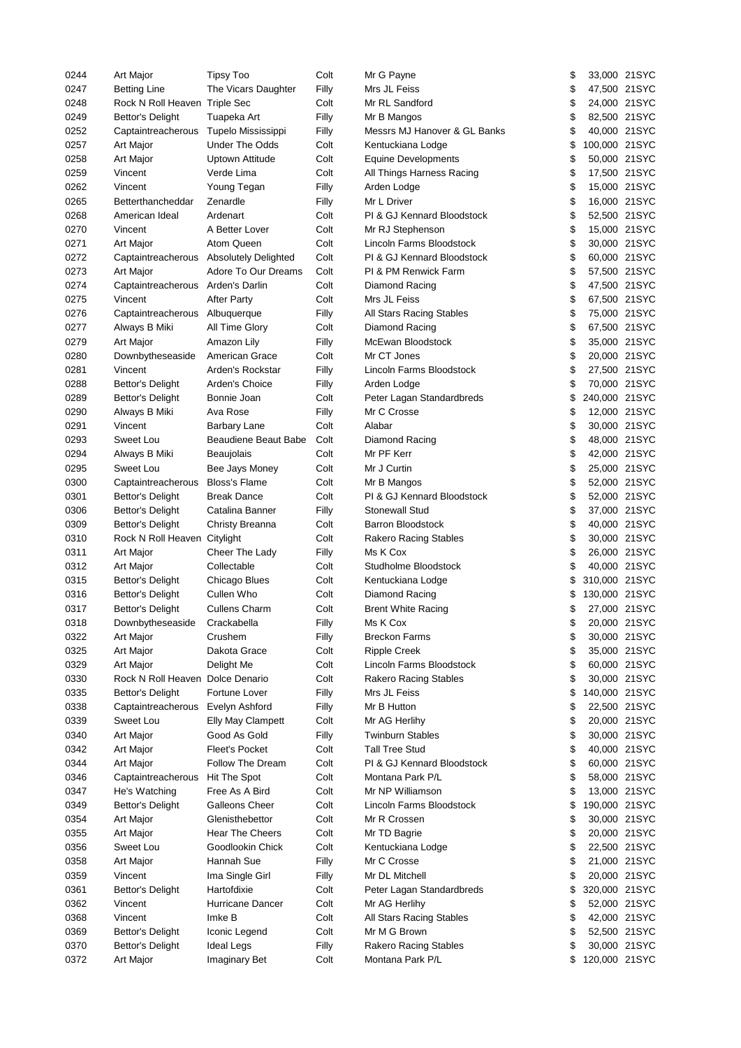| 0244 | Art Major                         | Tipsy Too                               | Colt  | Mr G Payne                   | \$                  | 33,000 21SYC |
|------|-----------------------------------|-----------------------------------------|-------|------------------------------|---------------------|--------------|
| 0247 | <b>Betting Line</b>               | The Vicars Daughter                     | Filly | Mrs JL Feiss                 | \$                  | 47,500 21SYC |
| 0248 | Rock N Roll Heaven Triple Sec     |                                         | Colt  | Mr RL Sandford               | \$                  | 24,000 21SYC |
| 0249 | Bettor's Delight                  | Tuapeka Art                             | Filly | Mr B Mangos                  | \$                  | 82,500 21SYC |
| 0252 | Captaintreacherous                | Tupelo Mississippi                      | Filly | Messrs MJ Hanover & GL Banks | \$                  | 40,000 21SYC |
| 0257 | Art Major                         | <b>Under The Odds</b>                   | Colt  | Kentuckiana Lodge            | \$<br>100,000 21SYC |              |
| 0258 | Art Major                         | Uptown Attitude                         | Colt  | <b>Equine Developments</b>   | \$                  | 50,000 21SYC |
| 0259 | Vincent                           | Verde Lima                              | Colt  | All Things Harness Racing    | \$                  | 17,500 21SYC |
| 0262 | Vincent                           | Young Tegan                             | Filly | Arden Lodge                  | \$                  | 15,000 21SYC |
| 0265 | Betterthancheddar                 | Zenardle                                | Filly | Mr L Driver                  | \$                  | 16,000 21SYC |
| 0268 | American Ideal                    | Ardenart                                | Colt  | PI & GJ Kennard Bloodstock   | \$                  | 52,500 21SYC |
| 0270 | Vincent                           | A Better Lover                          | Colt  | Mr RJ Stephenson             | \$                  | 15,000 21SYC |
| 0271 | <b>Art Major</b>                  | Atom Queen                              | Colt  | Lincoln Farms Bloodstock     | \$                  | 30,000 21SYC |
| 0272 |                                   | Captaintreacherous Absolutely Delighted | Colt  | PI & GJ Kennard Bloodstock   | \$                  | 60,000 21SYC |
| 0273 | Art Major                         | Adore To Our Dreams                     | Colt  | PI & PM Renwick Farm         | \$                  | 57,500 21SYC |
| 0274 | Captaintreacherous Arden's Darlin |                                         | Colt  | Diamond Racing               | \$                  | 47,500 21SYC |
| 0275 | Vincent                           | <b>After Party</b>                      | Colt  | Mrs JL Feiss                 | \$                  | 67,500 21SYC |
| 0276 | Captaintreacherous                | Albuquerque                             | Filly | All Stars Racing Stables     | \$                  | 75,000 21SYC |
| 0277 | Always B Miki                     | All Time Glory                          | Colt  | Diamond Racing               | \$                  | 67,500 21SYC |
| 0279 | Art Major                         | Amazon Lily                             | Filly | McEwan Bloodstock            | \$                  | 35,000 21SYC |
| 0280 | Downbytheseaside                  | American Grace                          | Colt  | Mr CT Jones                  | \$                  | 20,000 21SYC |
| 0281 | Vincent                           | Arden's Rockstar                        | Filly | Lincoln Farms Bloodstock     | \$                  | 27,500 21SYC |
| 0288 | <b>Bettor's Delight</b>           | Arden's Choice                          | Filly |                              | \$                  | 70,000 21SYC |
|      |                                   | Bonnie Joan                             | Colt  | Arden Lodge                  | \$                  |              |
| 0289 | Bettor's Delight                  |                                         |       | Peter Lagan Standardbreds    | 240,000 21SYC       |              |
| 0290 | Always B Miki                     | Ava Rose                                | Filly | Mr C Crosse                  | \$                  | 12,000 21SYC |
| 0291 | Vincent                           | <b>Barbary Lane</b>                     | Colt  | Alabar                       | \$                  | 30,000 21SYC |
| 0293 | Sweet Lou                         | Beaudiene Beaut Babe                    | Colt  | Diamond Racing               | \$                  | 48,000 21SYC |
| 0294 | Always B Miki                     | Beaujolais                              | Colt  | Mr PF Kerr                   | \$                  | 42,000 21SYC |
| 0295 | Sweet Lou                         | Bee Jays Money                          | Colt  | Mr J Curtin                  | \$                  | 25,000 21SYC |
| 0300 | Captaintreacherous                | <b>Bloss's Flame</b>                    | Colt  | Mr B Mangos                  | \$                  | 52,000 21SYC |
| 0301 | Bettor's Delight                  | <b>Break Dance</b>                      | Colt  | PI & GJ Kennard Bloodstock   | \$                  | 52,000 21SYC |
| 0306 | Bettor's Delight                  | Catalina Banner                         | Filly | <b>Stonewall Stud</b>        | \$                  | 37,000 21SYC |
| 0309 | Bettor's Delight                  | Christy Breanna                         | Colt  | <b>Barron Bloodstock</b>     | \$                  | 40,000 21SYC |
| 0310 | Rock N Roll Heaven Citylight      |                                         | Colt  | <b>Rakero Racing Stables</b> | \$                  | 30,000 21SYC |
| 0311 | Art Major                         | Cheer The Lady                          | Filly | Ms K Cox                     | \$                  | 26,000 21SYC |
| 0312 | Art Major                         | Collectable                             | Colt  | Studholme Bloodstock         | \$                  | 40,000 21SYC |
| 0315 | Bettor's Delight                  | Chicago Blues                           | Colt  | Kentuckiana Lodge            | \$<br>310,000 21SYC |              |
| 0316 | Bettor's Delight                  | Cullen Who                              | Colt  | Diamond Racing               | \$<br>130,000 21SYC |              |
| 0317 | <b>Bettor's Delight</b>           | <b>Cullens Charm</b>                    | Colt  | <b>Brent White Racing</b>    | \$                  | 27,000 21SYC |
| 0318 | Downbytheseaside                  | Crackabella                             | Filly | Ms K Cox                     |                     | 20,000 21SYC |
| 0322 | Art Major                         | Crushem                                 | Filly | <b>Breckon Farms</b>         | \$                  | 30,000 21SYC |
| 0325 | Art Major                         | Dakota Grace                            | Colt  | <b>Ripple Creek</b>          | \$                  | 35,000 21SYC |
| 0329 | <b>Art Major</b>                  | Delight Me                              | Colt  | Lincoln Farms Bloodstock     | \$                  | 60,000 21SYC |
| 0330 | Rock N Roll Heaven Dolce Denario  |                                         | Colt  | <b>Rakero Racing Stables</b> | \$                  | 30,000 21SYC |
| 0335 | <b>Bettor's Delight</b>           | Fortune Lover                           | Filly | Mrs JL Feiss                 | \$<br>140,000 21SYC |              |
| 0338 | Captaintreacherous                | Evelyn Ashford                          | Filly | Mr B Hutton                  | \$                  | 22,500 21SYC |
| 0339 | Sweet Lou                         | <b>Elly May Clampett</b>                | Colt  | Mr AG Herlihy                | \$                  | 20,000 21SYC |
| 0340 | Art Major                         | Good As Gold                            | Filly | <b>Twinburn Stables</b>      | \$                  | 30,000 21SYC |
| 0342 | Art Major                         | <b>Fleet's Pocket</b>                   | Colt  | <b>Tall Tree Stud</b>        | \$                  | 40,000 21SYC |
| 0344 | Art Major                         | Follow The Dream                        | Colt  | PI & GJ Kennard Bloodstock   | \$                  | 60,000 21SYC |
| 0346 | Captaintreacherous                | Hit The Spot                            | Colt  | Montana Park P/L             | \$                  | 58,000 21SYC |
| 0347 | He's Watching                     | Free As A Bird                          | Colt  | Mr NP Williamson             | \$                  | 13,000 21SYC |
| 0349 | Bettor's Delight                  | Galleons Cheer                          | Colt  | Lincoln Farms Bloodstock     | \$<br>190,000 21SYC |              |
| 0354 | Art Major                         | Glenisthebettor                         | Colt  | Mr R Crossen                 | \$                  | 30,000 21SYC |
| 0355 | Art Major                         | Hear The Cheers                         | Colt  | Mr TD Bagrie                 | \$                  | 20,000 21SYC |
| 0356 | Sweet Lou                         | Goodlookin Chick                        | Colt  | Kentuckiana Lodge            | \$                  | 22,500 21SYC |
| 0358 | Art Major                         | Hannah Sue                              | Filly | Mr C Crosse                  | \$                  | 21,000 21SYC |
| 0359 | Vincent                           | Ima Single Girl                         | Filly | Mr DL Mitchell               | \$                  | 20,000 21SYC |
| 0361 | <b>Bettor's Delight</b>           | Hartofdixie                             | Colt  | Peter Lagan Standardbreds    | \$<br>320,000 21SYC |              |
| 0362 | Vincent                           | Hurricane Dancer                        | Colt  | Mr AG Herlihy                | \$                  | 52,000 21SYC |
| 0368 | Vincent                           | Imke B                                  | Colt  | All Stars Racing Stables     | \$                  | 42,000 21SYC |
| 0369 | Bettor's Delight                  | Iconic Legend                           | Colt  | Mr M G Brown                 | \$                  | 52,500 21SYC |
| 0370 | Bettor's Delight                  | <b>Ideal Legs</b>                       | Filly | <b>Rakero Racing Stables</b> | \$                  | 30,000 21SYC |
| 0372 | Art Major                         | Imaginary Bet                           | Colt  | Montana Park P/L             | 120,000 21SYC       |              |
|      |                                   |                                         |       |                              |                     |              |